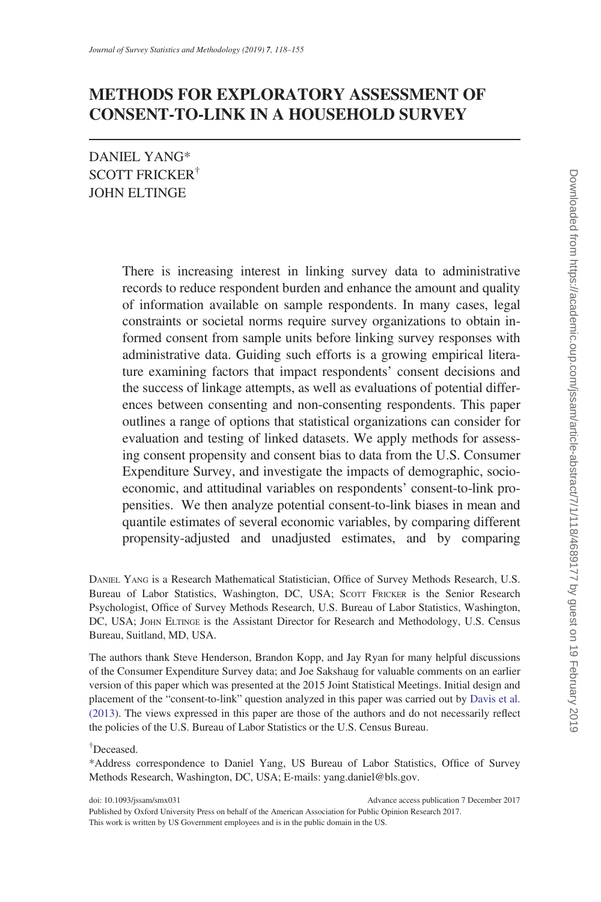# METHODS FOR EXPLORATORY ASSESSMENT OF CONSENT-TO-LINK IN A HOUSEHOLD SURVEY

DANIEL YANG\* SCOTT FRICKER† JOHN ELTINGE

> There is increasing interest in linking survey data to administrative records to reduce respondent burden and enhance the amount and quality of information available on sample respondents. In many cases, legal constraints or societal norms require survey organizations to obtain informed consent from sample units before linking survey responses with administrative data. Guiding such efforts is a growing empirical literature examining factors that impact respondents' consent decisions and the success of linkage attempts, as well as evaluations of potential differences between consenting and non-consenting respondents. This paper outlines a range of options that statistical organizations can consider for evaluation and testing of linked datasets. We apply methods for assessing consent propensity and consent bias to data from the U.S. Consumer Expenditure Survey, and investigate the impacts of demographic, socioeconomic, and attitudinal variables on respondents' consent-to-link propensities. We then analyze potential consent-to-link biases in mean and quantile estimates of several economic variables, by comparing different propensity-adjusted and unadjusted estimates, and by comparing

DANIEL YANG is a Research Mathematical Statistician, Office of Survey Methods Research, U.S. Bureau of Labor Statistics, Washington, DC, USA; SCOTT FRICKER is the Senior Research Psychologist, Office of Survey Methods Research, U.S. Bureau of Labor Statistics, Washington, DC, USA; JOHN ELTINGE is the Assistant Director for Research and Methodology, U.S. Census Bureau, Suitland, MD, USA.

The authors thank Steve Henderson, Brandon Kopp, and Jay Ryan for many helpful discussions of the Consumer Expenditure Survey data; and Joe Sakshaug for valuable comments on an earlier version of this paper which was presented at the 2015 Joint Statistical Meetings. Initial design and placement of the "consent-to-link" question analyzed in this paper was carried out by [Davis et al.](#page-26-0) [\(2013\)](#page-26-0). The views expressed in this paper are those of the authors and do not necessarily reflect the policies of the U.S. Bureau of Labor Statistics or the U.S. Census Bureau.

† Deceased.

\*Address correspondence to Daniel Yang, US Bureau of Labor Statistics, Office of Survey Methods Research, Washington, DC, USA; E-mails: yang.daniel@bls.gov.

doi: 10.1093/jssam/smx031 Advance access publication 7 December 2017

Published by Oxford University Press on behalf of the American Association for Public Opinion Research 2017. This work is written by US Government employees and is in the public domain in the US.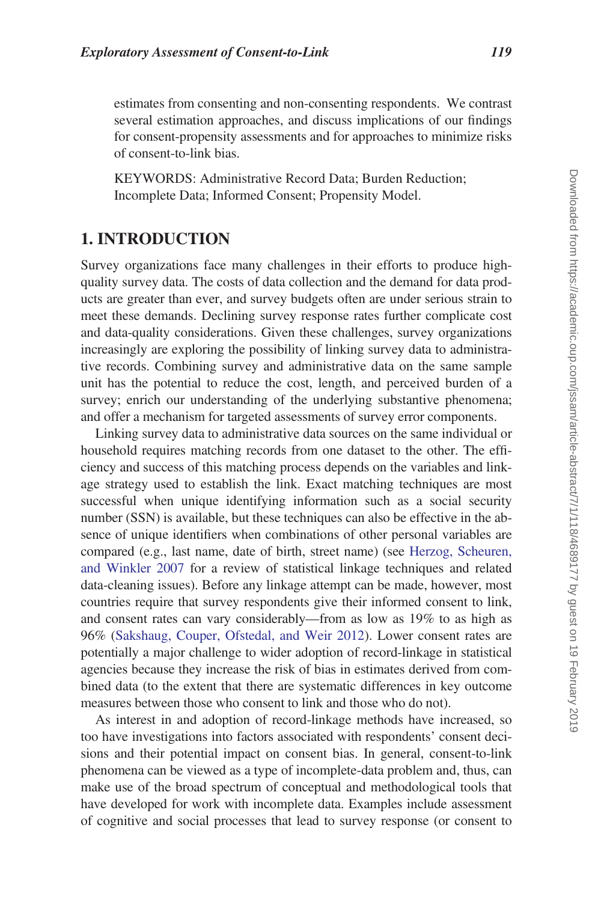estimates from consenting and non-consenting respondents. We contrast several estimation approaches, and discuss implications of our findings for consent-propensity assessments and for approaches to minimize risks of consent-to-link bias.

KEYWORDS: Administrative Record Data; Burden Reduction; Incomplete Data; Informed Consent; Propensity Model.

## 1. INTRODUCTION

Survey organizations face many challenges in their efforts to produce highquality survey data. The costs of data collection and the demand for data products are greater than ever, and survey budgets often are under serious strain to meet these demands. Declining survey response rates further complicate cost and data-quality considerations. Given these challenges, survey organizations increasingly are exploring the possibility of linking survey data to administrative records. Combining survey and administrative data on the same sample unit has the potential to reduce the cost, length, and perceived burden of a survey; enrich our understanding of the underlying substantive phenomena; and offer a mechanism for targeted assessments of survey error components.

Linking survey data to administrative data sources on the same individual or household requires matching records from one dataset to the other. The efficiency and success of this matching process depends on the variables and linkage strategy used to establish the link. Exact matching techniques are most successful when unique identifying information such as a social security number (SSN) is available, but these techniques can also be effective in the absence of unique identifiers when combinations of other personal variables are compared (e.g., last name, date of birth, street name) (see [Herzog, Scheuren,](#page-26-0) [and Winkler 2007](#page-26-0) for a review of statistical linkage techniques and related data-cleaning issues). Before any linkage attempt can be made, however, most countries require that survey respondents give their informed consent to link, and consent rates can vary considerably—from as low as 19% to as high as 96% ([Sakshaug, Couper, Ofstedal, and Weir 2012\)](#page-27-0). Lower consent rates are potentially a major challenge to wider adoption of record-linkage in statistical agencies because they increase the risk of bias in estimates derived from combined data (to the extent that there are systematic differences in key outcome measures between those who consent to link and those who do not).

As interest in and adoption of record-linkage methods have increased, so too have investigations into factors associated with respondents' consent decisions and their potential impact on consent bias. In general, consent-to-link phenomena can be viewed as a type of incomplete-data problem and, thus, can make use of the broad spectrum of conceptual and methodological tools that have developed for work with incomplete data. Examples include assessment of cognitive and social processes that lead to survey response (or consent to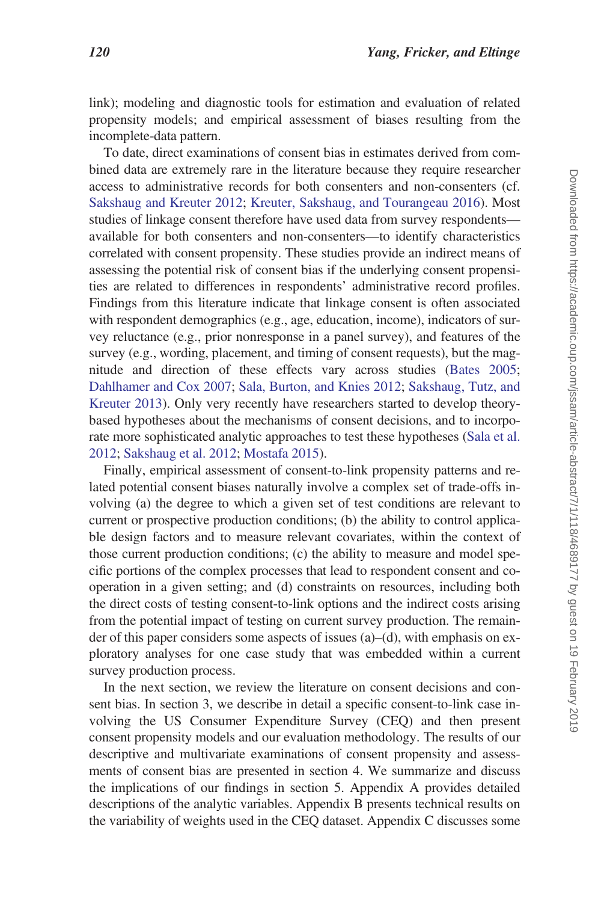link); modeling and diagnostic tools for estimation and evaluation of related propensity models; and empirical assessment of biases resulting from the incomplete-data pattern.

To date, direct examinations of consent bias in estimates derived from combined data are extremely rare in the literature because they require researcher access to administrative records for both consenters and non-consenters (cf. [Sakshaug and Kreuter 2012](#page-27-0); [Kreuter, Sakshaug, and Tourangeau 2016](#page-27-0)). Most studies of linkage consent therefore have used data from survey respondents available for both consenters and non-consenters—to identify characteristics correlated with consent propensity. These studies provide an indirect means of assessing the potential risk of consent bias if the underlying consent propensities are related to differences in respondents' administrative record profiles. Findings from this literature indicate that linkage consent is often associated with respondent demographics (e.g., age, education, income), indicators of survey reluctance (e.g., prior nonresponse in a panel survey), and features of the survey (e.g., wording, placement, and timing of consent requests), but the magnitude and direction of these effects vary across studies [\(Bates 2005](#page-26-0); [Dahlhamer and Cox 2007](#page-26-0); [Sala, Burton, and Knies 2012](#page-27-0); [Sakshaug, Tutz, and](#page-27-0) [Kreuter 2013\)](#page-27-0). Only very recently have researchers started to develop theorybased hypotheses about the mechanisms of consent decisions, and to incorporate more sophisticated analytic approaches to test these hypotheses ([Sala et al.](#page-27-0) [2012;](#page-27-0) [Sakshaug et al. 2012](#page-27-0); [Mostafa 2015](#page-27-0)).

Finally, empirical assessment of consent-to-link propensity patterns and related potential consent biases naturally involve a complex set of trade-offs involving (a) the degree to which a given set of test conditions are relevant to current or prospective production conditions; (b) the ability to control applicable design factors and to measure relevant covariates, within the context of those current production conditions; (c) the ability to measure and model specific portions of the complex processes that lead to respondent consent and cooperation in a given setting; and (d) constraints on resources, including both the direct costs of testing consent-to-link options and the indirect costs arising from the potential impact of testing on current survey production. The remainder of this paper considers some aspects of issues (a)–(d), with emphasis on exploratory analyses for one case study that was embedded within a current survey production process.

In the next section, we review the literature on consent decisions and consent bias. In section 3, we describe in detail a specific consent-to-link case involving the US Consumer Expenditure Survey (CEQ) and then present consent propensity models and our evaluation methodology. The results of our descriptive and multivariate examinations of consent propensity and assessments of consent bias are presented in section 4. We summarize and discuss the implications of our findings in section 5. Appendix A provides detailed descriptions of the analytic variables. Appendix B presents technical results on the variability of weights used in the CEQ dataset. Appendix C discusses some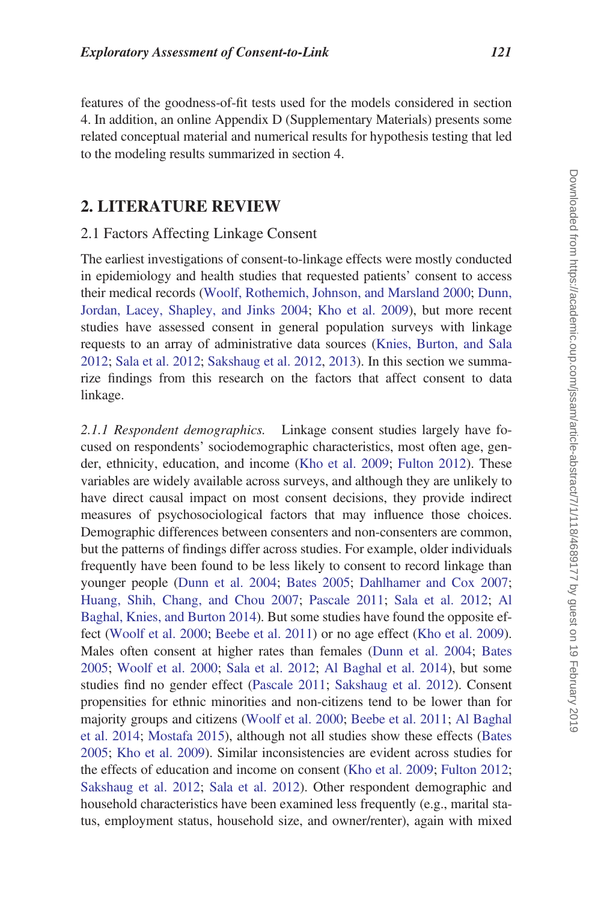features of the goodness-of-fit tests used for the models considered in section 4. In addition, an online Appendix D (Supplementary Materials) presents some related conceptual material and numerical results for hypothesis testing that led to the modeling results summarized in section 4.

## 2. LITERATURE REVIEW

#### 2.1 Factors Affecting Linkage Consent

The earliest investigations of consent-to-linkage effects were mostly conducted in epidemiology and health studies that requested patients' consent to access their medical records [\(Woolf, Rothemich, Johnson, and Marsland 2000](#page-28-0); [Dunn,](#page-26-0) [Jordan, Lacey, Shapley, and Jinks 2004;](#page-26-0) [Kho et al. 2009\)](#page-26-0), but more recent studies have assessed consent in general population surveys with linkage requests to an array of administrative data sources [\(Knies, Burton, and Sala](#page-27-0) [2012;](#page-27-0) [Sala et al. 2012](#page-27-0); [Sakshaug et al. 2012](#page-27-0), [2013](#page-27-0)). In this section we summarize findings from this research on the factors that affect consent to data linkage.

2.1.1 Respondent demographics. Linkage consent studies largely have focused on respondents' sociodemographic characteristics, most often age, gender, ethnicity, education, and income [\(Kho et al. 2009;](#page-26-0) [Fulton 2012](#page-26-0)). These variables are widely available across surveys, and although they are unlikely to have direct causal impact on most consent decisions, they provide indirect measures of psychosociological factors that may influence those choices. Demographic differences between consenters and non-consenters are common, but the patterns of findings differ across studies. For example, older individuals frequently have been found to be less likely to consent to record linkage than younger people [\(Dunn et al. 2004;](#page-26-0) [Bates 2005;](#page-26-0) [Dahlhamer and Cox 2007](#page-26-0); [Huang, Shih, Chang, and Chou 2007;](#page-26-0) [Pascale 2011](#page-27-0); [Sala et al. 2012;](#page-27-0) [Al](#page-25-0) [Baghal, Knies, and Burton 2014](#page-25-0)). But some studies have found the opposite effect ([Woolf et al. 2000](#page-28-0); [Beebe et al. 2011\)](#page-26-0) or no age effect ([Kho et al. 2009](#page-26-0)). Males often consent at higher rates than females ([Dunn et al. 2004](#page-26-0); [Bates](#page-26-0) [2005;](#page-26-0) [Woolf et al. 2000](#page-28-0); [Sala et al. 2012;](#page-27-0) [Al Baghal et al. 2014\)](#page-25-0), but some studies find no gender effect [\(Pascale 2011](#page-27-0); [Sakshaug et al. 2012](#page-27-0)). Consent propensities for ethnic minorities and non-citizens tend to be lower than for majority groups and citizens ([Woolf et al. 2000;](#page-28-0) [Beebe et al. 2011;](#page-26-0) [Al Baghal](#page-25-0) [et al. 2014;](#page-25-0) [Mostafa 2015](#page-27-0)), although not all studies show these effects [\(Bates](#page-26-0) [2005;](#page-26-0) [Kho et al. 2009](#page-26-0)). Similar inconsistencies are evident across studies for the effects of education and income on consent [\(Kho et al. 2009;](#page-26-0) [Fulton 2012](#page-26-0); [Sakshaug et al. 2012;](#page-27-0) [Sala et al. 2012\)](#page-27-0). Other respondent demographic and household characteristics have been examined less frequently (e.g., marital status, employment status, household size, and owner/renter), again with mixed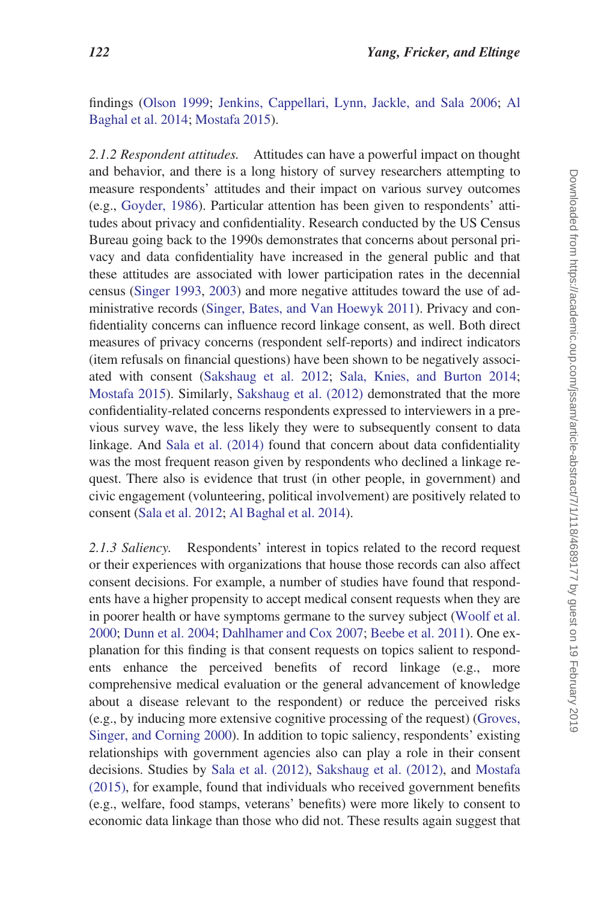findings [\(Olson 1999](#page-27-0); [Jenkins, Cappellari, Lynn, Jackle, and Sala 2006](#page-26-0); [Al](#page-25-0) [Baghal et al. 2014](#page-25-0); [Mostafa 2015\)](#page-27-0).

2.1.2 Respondent attitudes. Attitudes can have a powerful impact on thought and behavior, and there is a long history of survey researchers attempting to measure respondents' attitudes and their impact on various survey outcomes (e.g., [Goyder, 1986](#page-26-0)). Particular attention has been given to respondents' attitudes about privacy and confidentiality. Research conducted by the US Census Bureau going back to the 1990s demonstrates that concerns about personal privacy and data confidentiality have increased in the general public and that these attitudes are associated with lower participation rates in the decennial census [\(Singer 1993,](#page-28-0) [2003](#page-28-0)) and more negative attitudes toward the use of administrative records [\(Singer, Bates, and Van Hoewyk 2011](#page-28-0)). Privacy and confidentiality concerns can influence record linkage consent, as well. Both direct measures of privacy concerns (respondent self-reports) and indirect indicators (item refusals on financial questions) have been shown to be negatively associated with consent ([Sakshaug et al. 2012](#page-27-0); [Sala, Knies, and Burton 2014](#page-28-0); [Mostafa 2015](#page-27-0)). Similarly, [Sakshaug et al. \(2012\)](#page-27-0) demonstrated that the more confidentiality-related concerns respondents expressed to interviewers in a previous survey wave, the less likely they were to subsequently consent to data linkage. And [Sala et al. \(2014\)](#page-28-0) found that concern about data confidentiality was the most frequent reason given by respondents who declined a linkage request. There also is evidence that trust (in other people, in government) and civic engagement (volunteering, political involvement) are positively related to consent ([Sala et al. 2012;](#page-27-0) [Al Baghal et al. 2014](#page-25-0)).

2.1.3 Saliency. Respondents' interest in topics related to the record request or their experiences with organizations that house those records can also affect consent decisions. For example, a number of studies have found that respondents have a higher propensity to accept medical consent requests when they are in poorer health or have symptoms germane to the survey subject [\(Woolf et al.](#page-28-0) [2000;](#page-28-0) [Dunn et al. 2004;](#page-26-0) [Dahlhamer and Cox 2007](#page-26-0); [Beebe et al. 2011](#page-26-0)). One explanation for this finding is that consent requests on topics salient to respondents enhance the perceived benefits of record linkage (e.g., more comprehensive medical evaluation or the general advancement of knowledge about a disease relevant to the respondent) or reduce the perceived risks (e.g., by inducing more extensive cognitive processing of the request) [\(Groves,](#page-26-0) [Singer, and Corning 2000](#page-26-0)). In addition to topic saliency, respondents' existing relationships with government agencies also can play a role in their consent decisions. Studies by [Sala et al. \(2012\),](#page-27-0) [Sakshaug et al. \(2012\)](#page-27-0), and [Mostafa](#page-27-0) [\(2015\)](#page-27-0), for example, found that individuals who received government benefits (e.g., welfare, food stamps, veterans' benefits) were more likely to consent to economic data linkage than those who did not. These results again suggest that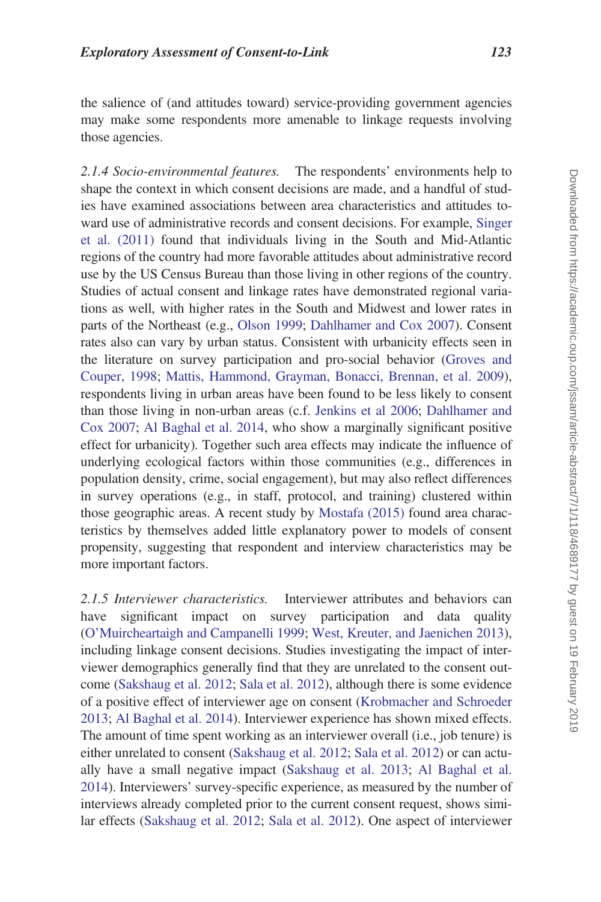the salience of (and attitudes toward) service-providing government agencies may make some respondents more amenable to linkage requests involving those agencies.

2.1.4 Socio-environmental features. The respondents' environments help to shape the context in which consent decisions are made, and a handful of studies have examined associations between area characteristics and attitudes toward use of administrative records and consent decisions. For example, [Singer](#page-28-0) [et al. \(2011\)](#page-28-0) found that individuals living in the South and Mid-Atlantic regions of the country had more favorable attitudes about administrative record use by the US Census Bureau than those living in other regions of the country. Studies of actual consent and linkage rates have demonstrated regional variations as well, with higher rates in the South and Midwest and lower rates in parts of the Northeast (e.g., [Olson 1999](#page-27-0); [Dahlhamer and Cox 2007\)](#page-26-0). Consent rates also can vary by urban status. Consistent with urbanicity effects seen in the literature on survey participation and pro-social behavior [\(Groves and](#page-26-0) [Couper, 1998;](#page-26-0) [Mattis, Hammond, Grayman, Bonacci, Brennan, et al. 2009](#page-27-0)), respondents living in urban areas have been found to be less likely to consent than those living in non-urban areas (c.f. [Jenkins et al 2006](#page-26-0); [Dahlhamer and](#page-26-0) [Cox 2007;](#page-26-0) [Al Baghal et al. 2014](#page-25-0), who show a marginally significant positive effect for urbanicity). Together such area effects may indicate the influence of underlying ecological factors within those communities (e.g., differences in population density, crime, social engagement), but may also reflect differences in survey operations (e.g., in staff, protocol, and training) clustered within those geographic areas. A recent study by [Mostafa \(2015\)](#page-27-0) found area characteristics by themselves added little explanatory power to models of consent propensity, suggesting that respondent and interview characteristics may be more important factors.

2.1.5 Interviewer characteristics. Interviewer attributes and behaviors can have significant impact on survey participation and data quality [\(O'Muircheartaigh and Campanelli 1999;](#page-27-0) [West, Kreuter, and Jaenichen 2013](#page-28-0)), including linkage consent decisions. Studies investigating the impact of interviewer demographics generally find that they are unrelated to the consent outcome [\(Sakshaug et al. 2012;](#page-27-0) [Sala et al. 2012](#page-27-0)), although there is some evidence of a positive effect of interviewer age on consent [\(Krobmacher and Schroeder](#page-27-0) [2013;](#page-27-0) [Al Baghal et al. 2014\)](#page-25-0). Interviewer experience has shown mixed effects. The amount of time spent working as an interviewer overall (i.e., job tenure) is either unrelated to consent ([Sakshaug et al. 2012;](#page-27-0) [Sala et al. 2012\)](#page-27-0) or can actually have a small negative impact [\(Sakshaug et al. 2013](#page-27-0); [Al Baghal et al.](#page-25-0) [2014\)](#page-25-0). Interviewers' survey-specific experience, as measured by the number of interviews already completed prior to the current consent request, shows similar effects ([Sakshaug et al. 2012](#page-27-0); [Sala et al. 2012\)](#page-27-0). One aspect of interviewer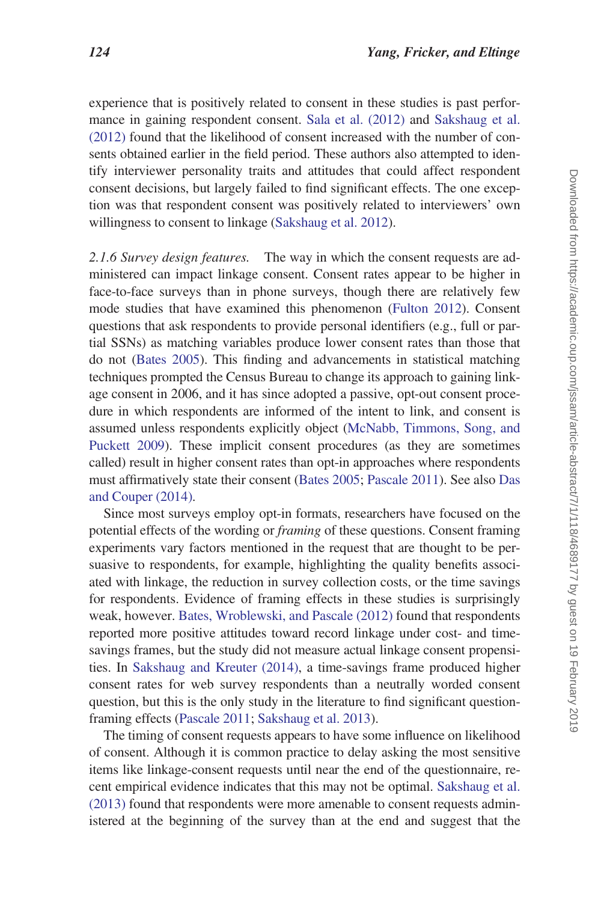experience that is positively related to consent in these studies is past performance in gaining respondent consent. [Sala et al. \(2012\)](#page-27-0) and [Sakshaug et al.](#page-27-0) [\(2012\)](#page-27-0) found that the likelihood of consent increased with the number of consents obtained earlier in the field period. These authors also attempted to identify interviewer personality traits and attitudes that could affect respondent consent decisions, but largely failed to find significant effects. The one exception was that respondent consent was positively related to interviewers' own willingness to consent to linkage ([Sakshaug et al. 2012](#page-27-0)).

2.1.6 Survey design features. The way in which the consent requests are administered can impact linkage consent. Consent rates appear to be higher in face-to-face surveys than in phone surveys, though there are relatively few mode studies that have examined this phenomenon [\(Fulton 2012\)](#page-26-0). Consent questions that ask respondents to provide personal identifiers (e.g., full or partial SSNs) as matching variables produce lower consent rates than those that do not ([Bates 2005\)](#page-26-0). This finding and advancements in statistical matching techniques prompted the Census Bureau to change its approach to gaining linkage consent in 2006, and it has since adopted a passive, opt-out consent procedure in which respondents are informed of the intent to link, and consent is assumed unless respondents explicitly object ([McNabb, Timmons, Song, and](#page-27-0) [Puckett 2009](#page-27-0)). These implicit consent procedures (as they are sometimes called) result in higher consent rates than opt-in approaches where respondents must affirmatively state their consent ([Bates 2005;](#page-26-0) [Pascale 2011\)](#page-27-0). See also [Das](#page-26-0) [and Couper \(2014\)](#page-26-0).

Since most surveys employ opt-in formats, researchers have focused on the potential effects of the wording or framing of these questions. Consent framing experiments vary factors mentioned in the request that are thought to be persuasive to respondents, for example, highlighting the quality benefits associated with linkage, the reduction in survey collection costs, or the time savings for respondents. Evidence of framing effects in these studies is surprisingly weak, however. [Bates, Wroblewski, and Pascale \(2012\)](#page-26-0) found that respondents reported more positive attitudes toward record linkage under cost- and timesavings frames, but the study did not measure actual linkage consent propensities. In [Sakshaug and Kreuter \(2014\)](#page-27-0), a time-savings frame produced higher consent rates for web survey respondents than a neutrally worded consent question, but this is the only study in the literature to find significant questionframing effects ([Pascale 2011](#page-27-0); [Sakshaug et al. 2013\)](#page-27-0).

The timing of consent requests appears to have some influence on likelihood of consent. Although it is common practice to delay asking the most sensitive items like linkage-consent requests until near the end of the questionnaire, recent empirical evidence indicates that this may not be optimal. [Sakshaug et al.](#page-27-0) [\(2013\)](#page-27-0) found that respondents were more amenable to consent requests administered at the beginning of the survey than at the end and suggest that the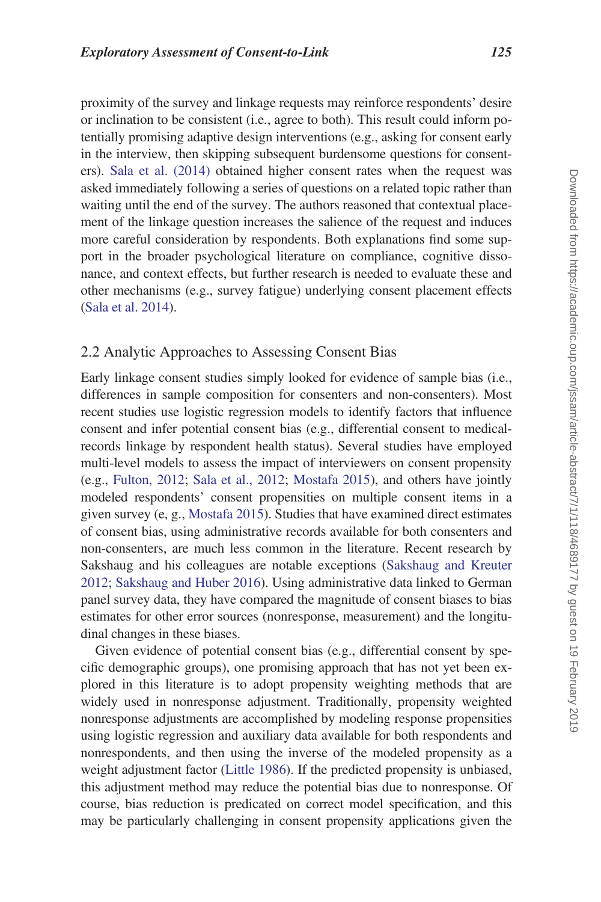proximity of the survey and linkage requests may reinforce respondents' desire or inclination to be consistent (i.e., agree to both). This result could inform potentially promising adaptive design interventions (e.g., asking for consent early in the interview, then skipping subsequent burdensome questions for consenters). [Sala et al. \(2014\)](#page-28-0) obtained higher consent rates when the request was asked immediately following a series of questions on a related topic rather than waiting until the end of the survey. The authors reasoned that contextual placement of the linkage question increases the salience of the request and induces more careful consideration by respondents. Both explanations find some support in the broader psychological literature on compliance, cognitive dissonance, and context effects, but further research is needed to evaluate these and other mechanisms (e.g., survey fatigue) underlying consent placement effects [\(Sala et al. 2014](#page-28-0)).

#### 2.2 Analytic Approaches to Assessing Consent Bias

Early linkage consent studies simply looked for evidence of sample bias (i.e., differences in sample composition for consenters and non-consenters). Most recent studies use logistic regression models to identify factors that influence consent and infer potential consent bias (e.g., differential consent to medicalrecords linkage by respondent health status). Several studies have employed multi-level models to assess the impact of interviewers on consent propensity (e.g., [Fulton, 2012;](#page-26-0) [Sala et al., 2012;](#page-27-0) [Mostafa 2015](#page-27-0)), and others have jointly modeled respondents' consent propensities on multiple consent items in a given survey (e, g., [Mostafa 2015\)](#page-27-0). Studies that have examined direct estimates of consent bias, using administrative records available for both consenters and non-consenters, are much less common in the literature. Recent research by Sakshaug and his colleagues are notable exceptions ([Sakshaug and Kreuter](#page-27-0) [2012;](#page-27-0) [Sakshaug and Huber 2016](#page-27-0)). Using administrative data linked to German panel survey data, they have compared the magnitude of consent biases to bias estimates for other error sources (nonresponse, measurement) and the longitudinal changes in these biases.

Given evidence of potential consent bias (e.g., differential consent by specific demographic groups), one promising approach that has not yet been explored in this literature is to adopt propensity weighting methods that are widely used in nonresponse adjustment. Traditionally, propensity weighted nonresponse adjustments are accomplished by modeling response propensities using logistic regression and auxiliary data available for both respondents and nonrespondents, and then using the inverse of the modeled propensity as a weight adjustment factor ([Little 1986\)](#page-27-0). If the predicted propensity is unbiased, this adjustment method may reduce the potential bias due to nonresponse. Of course, bias reduction is predicated on correct model specification, and this may be particularly challenging in consent propensity applications given the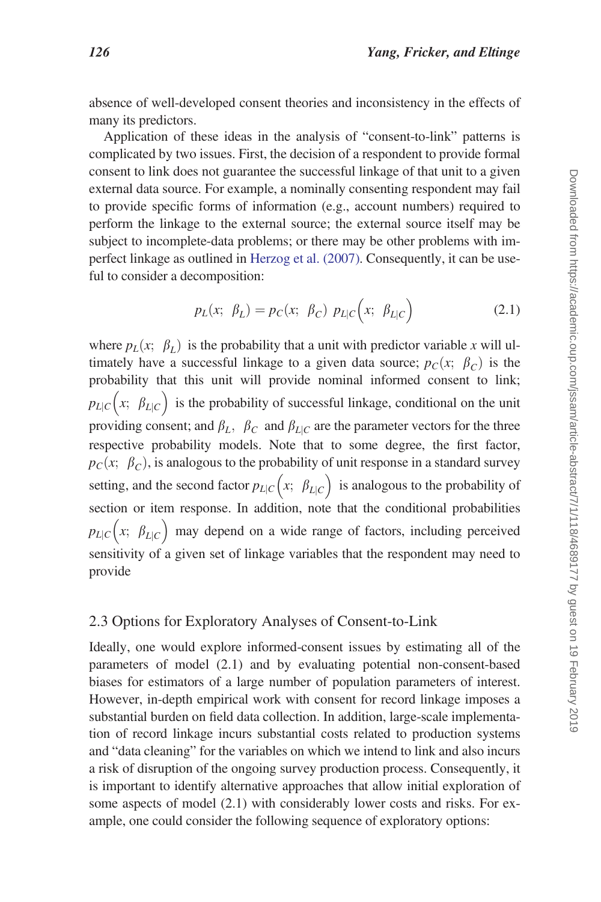absence of well-developed consent theories and inconsistency in the effects of many its predictors.

Application of these ideas in the analysis of "consent-to-link" patterns is complicated by two issues. First, the decision of a respondent to provide formal consent to link does not guarantee the successful linkage of that unit to a given external data source. For example, a nominally consenting respondent may fail to provide specific forms of information (e.g., account numbers) required to perform the linkage to the external source; the external source itself may be subject to incomplete-data problems; or there may be other problems with imperfect linkage as outlined in [Herzog et al. \(2007\)](#page-26-0). Consequently, it can be useful to consider a decomposition:

$$
p_L(x; \beta_L) = p_C(x; \beta_C) p_{L|C}\left(x; \beta_{L|C}\right)
$$
 (2.1)

where  $p_L(x; \beta_L)$  is the probability that a unit with predictor variable x will ultimately have a successful linkage to a given data source;  $p_C(x; \beta_C)$  is the probability that this unit will provide nominal informed consent to link;  $p_{L|C}\left(x;\;\;\beta_{L|C}\right)$  $\left(x_i, \beta_{L|C}\right)$  is the probability of successful linkage, conditional on the unit providing consent; and  $\beta_L$ ,  $\beta_C$  and  $\beta_{L|C}$  are the parameter vectors for the three respective probability models. Note that to some degree, the first factor,  $p_C(x; \beta_C)$ , is analogous to the probability of unit response in a standard survey setting, and the second factor  $p_{L|C}(x; \beta_{L|C})$  $\left(x; \beta_{LLC}\right)$  is analogous to the probability of section or item response. In addition, note that the conditional probabilities  $p_{L|C}\left(x;\;\;\beta_{L|C}\right)$  $\left(x; \beta_{L|C}\right)$  may depend on a wide range of factors, including perceived sensitivity of a given set of linkage variables that the respondent may need to provide

## 2.3 Options for Exploratory Analyses of Consent-to-Link

Ideally, one would explore informed-consent issues by estimating all of the parameters of model (2.1) and by evaluating potential non-consent-based biases for estimators of a large number of population parameters of interest. However, in-depth empirical work with consent for record linkage imposes a substantial burden on field data collection. In addition, large-scale implementation of record linkage incurs substantial costs related to production systems and "data cleaning" for the variables on which we intend to link and also incurs a risk of disruption of the ongoing survey production process. Consequently, it is important to identify alternative approaches that allow initial exploration of some aspects of model (2.1) with considerably lower costs and risks. For example, one could consider the following sequence of exploratory options: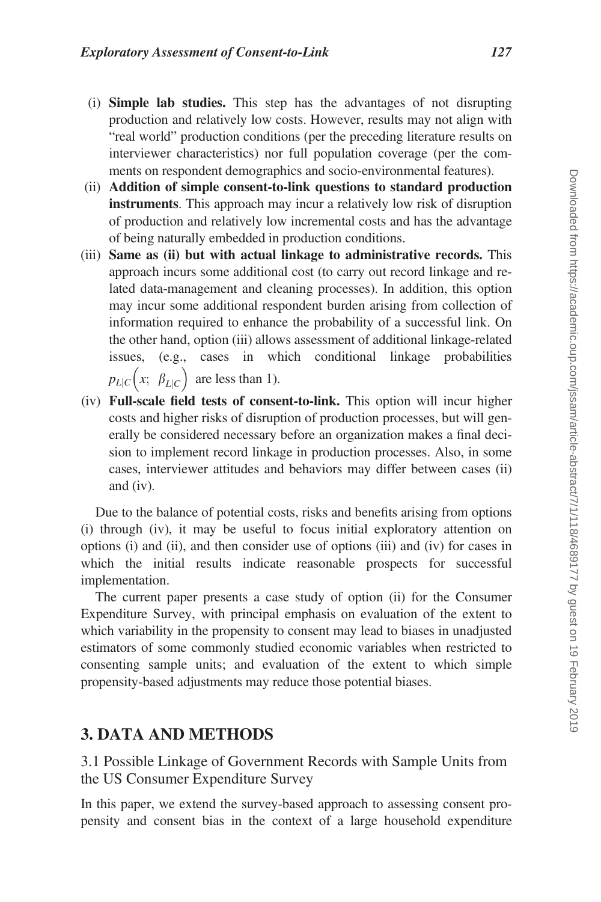- (i) Simple lab studies. This step has the advantages of not disrupting production and relatively low costs. However, results may not align with "real world" production conditions (per the preceding literature results on interviewer characteristics) nor full population coverage (per the comments on respondent demographics and socio-environmental features).
- (ii) Addition of simple consent-to-link questions to standard production instruments. This approach may incur a relatively low risk of disruption of production and relatively low incremental costs and has the advantage of being naturally embedded in production conditions.
- (iii) Same as (ii) but with actual linkage to administrative records. This approach incurs some additional cost (to carry out record linkage and related data-management and cleaning processes). In addition, this option may incur some additional respondent burden arising from collection of information required to enhance the probability of a successful link. On the other hand, option (iii) allows assessment of additional linkage-related issues, (e.g., cases in which conditional linkage probabilities  $p_{L|C}\left(x;\;\;\beta_{L|C}\right)$  $\left(x;\,\beta_{L|C}\right)$  are less than 1).
- (iv) Full-scale field tests of consent-to-link. This option will incur higher costs and higher risks of disruption of production processes, but will generally be considered necessary before an organization makes a final decision to implement record linkage in production processes. Also, in some cases, interviewer attitudes and behaviors may differ between cases (ii) and (iv).

Due to the balance of potential costs, risks and benefits arising from options (i) through (iv), it may be useful to focus initial exploratory attention on options (i) and (ii), and then consider use of options (iii) and (iv) for cases in which the initial results indicate reasonable prospects for successful implementation.

The current paper presents a case study of option (ii) for the Consumer Expenditure Survey, with principal emphasis on evaluation of the extent to which variability in the propensity to consent may lead to biases in unadjusted estimators of some commonly studied economic variables when restricted to consenting sample units; and evaluation of the extent to which simple propensity-based adjustments may reduce those potential biases.

## 3. DATA AND METHODS

3.1 Possible Linkage of Government Records with Sample Units from the US Consumer Expenditure Survey

In this paper, we extend the survey-based approach to assessing consent propensity and consent bias in the context of a large household expenditure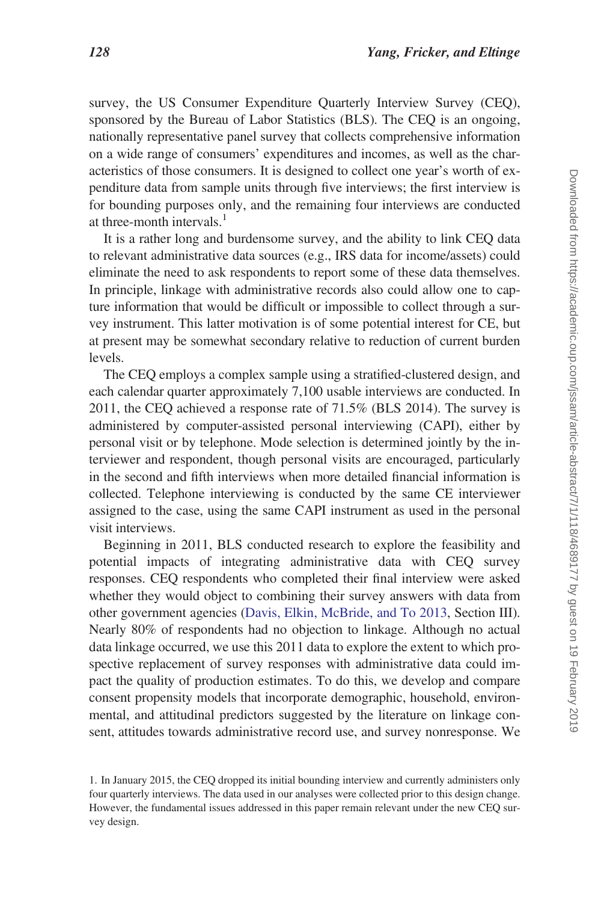survey, the US Consumer Expenditure Quarterly Interview Survey (CEQ), sponsored by the Bureau of Labor Statistics (BLS). The CEQ is an ongoing, nationally representative panel survey that collects comprehensive information on a wide range of consumers' expenditures and incomes, as well as the characteristics of those consumers. It is designed to collect one year's worth of expenditure data from sample units through five interviews; the first interview is for bounding purposes only, and the remaining four interviews are conducted at three-month intervals.<sup>1</sup>

It is a rather long and burdensome survey, and the ability to link CEQ data to relevant administrative data sources (e.g., IRS data for income/assets) could eliminate the need to ask respondents to report some of these data themselves. In principle, linkage with administrative records also could allow one to capture information that would be difficult or impossible to collect through a survey instrument. This latter motivation is of some potential interest for CE, but at present may be somewhat secondary relative to reduction of current burden levels.

The CEQ employs a complex sample using a stratified-clustered design, and each calendar quarter approximately 7,100 usable interviews are conducted. In 2011, the CEQ achieved a response rate of 71.5% (BLS 2014). The survey is administered by computer-assisted personal interviewing (CAPI), either by personal visit or by telephone. Mode selection is determined jointly by the interviewer and respondent, though personal visits are encouraged, particularly in the second and fifth interviews when more detailed financial information is collected. Telephone interviewing is conducted by the same CE interviewer assigned to the case, using the same CAPI instrument as used in the personal visit interviews.

Beginning in 2011, BLS conducted research to explore the feasibility and potential impacts of integrating administrative data with CEQ survey responses. CEQ respondents who completed their final interview were asked whether they would object to combining their survey answers with data from other government agencies [\(Davis, Elkin, McBride, and To 2013](#page-26-0), Section III). Nearly 80% of respondents had no objection to linkage. Although no actual data linkage occurred, we use this 2011 data to explore the extent to which prospective replacement of survey responses with administrative data could impact the quality of production estimates. To do this, we develop and compare consent propensity models that incorporate demographic, household, environmental, and attitudinal predictors suggested by the literature on linkage consent, attitudes towards administrative record use, and survey nonresponse. We

<sup>1.</sup> In January 2015, the CEQ dropped its initial bounding interview and currently administers only four quarterly interviews. The data used in our analyses were collected prior to this design change. However, the fundamental issues addressed in this paper remain relevant under the new CEQ survey design.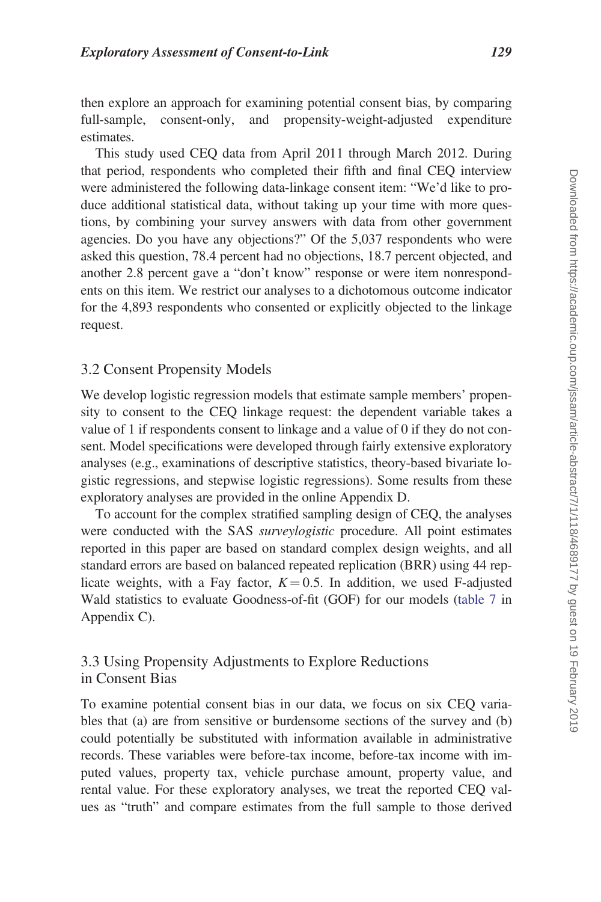then explore an approach for examining potential consent bias, by comparing full-sample, consent-only, and propensity-weight-adjusted expenditure estimates.

This study used CEQ data from April 2011 through March 2012. During that period, respondents who completed their fifth and final CEQ interview were administered the following data-linkage consent item: "We'd like to produce additional statistical data, without taking up your time with more questions, by combining your survey answers with data from other government agencies. Do you have any objections?" Of the 5,037 respondents who were asked this question, 78.4 percent had no objections, 18.7 percent objected, and another 2.8 percent gave a "don't know" response or were item nonrespondents on this item. We restrict our analyses to a dichotomous outcome indicator for the 4,893 respondents who consented or explicitly objected to the linkage request.

#### 3.2 Consent Propensity Models

We develop logistic regression models that estimate sample members' propensity to consent to the CEQ linkage request: the dependent variable takes a value of 1 if respondents consent to linkage and a value of 0 if they do not consent. Model specifications were developed through fairly extensive exploratory analyses (e.g., examinations of descriptive statistics, theory-based bivariate logistic regressions, and stepwise logistic regressions). Some results from these exploratory analyses are provided in the online Appendix D.

To account for the complex stratified sampling design of CEQ, the analyses were conducted with the SAS surveylogistic procedure. All point estimates reported in this paper are based on standard complex design weights, and all standard errors are based on balanced repeated replication (BRR) using 44 replicate weights, with a Fay factor,  $K = 0.5$ . In addition, we used F-adjusted Wald statistics to evaluate Goodness-of-fit (GOF) for our models [\(table 7](#page-32-0) in Appendix C).

## 3.3 Using Propensity Adjustments to Explore Reductions in Consent Bias

To examine potential consent bias in our data, we focus on six CEQ variables that (a) are from sensitive or burdensome sections of the survey and (b) could potentially be substituted with information available in administrative records. These variables were before-tax income, before-tax income with imputed values, property tax, vehicle purchase amount, property value, and rental value. For these exploratory analyses, we treat the reported CEQ values as "truth" and compare estimates from the full sample to those derived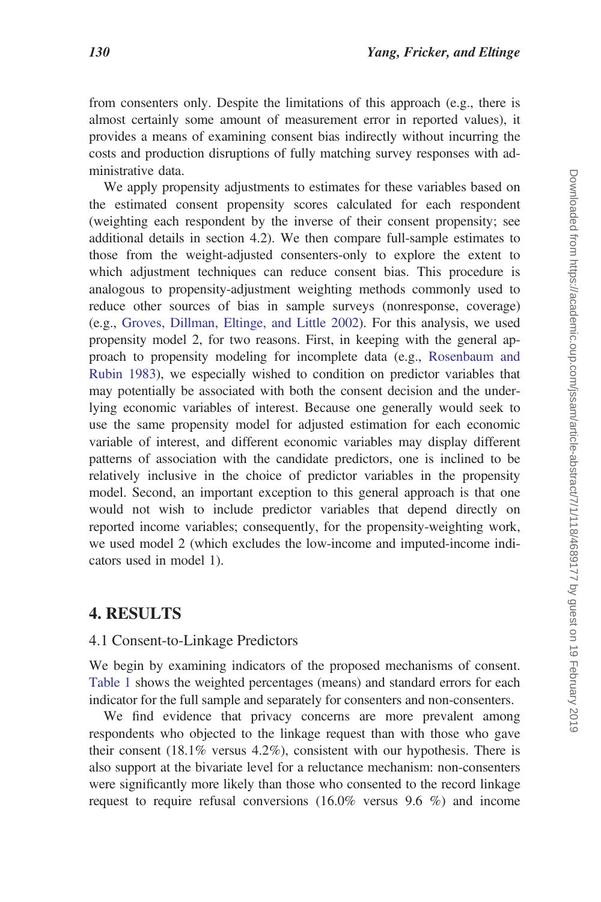from consenters only. Despite the limitations of this approach (e.g., there is almost certainly some amount of measurement error in reported values), it provides a means of examining consent bias indirectly without incurring the costs and production disruptions of fully matching survey responses with administrative data.

We apply propensity adjustments to estimates for these variables based on the estimated consent propensity scores calculated for each respondent (weighting each respondent by the inverse of their consent propensity; see additional details in section 4.2). We then compare full-sample estimates to those from the weight-adjusted consenters-only to explore the extent to which adjustment techniques can reduce consent bias. This procedure is analogous to propensity-adjustment weighting methods commonly used to reduce other sources of bias in sample surveys (nonresponse, coverage) (e.g., [Groves, Dillman, Eltinge, and Little 2002\)](#page-26-0). For this analysis, we used propensity model 2, for two reasons. First, in keeping with the general approach to propensity modeling for incomplete data (e.g., [Rosenbaum and](#page-27-0) [Rubin 1983](#page-27-0)), we especially wished to condition on predictor variables that may potentially be associated with both the consent decision and the underlying economic variables of interest. Because one generally would seek to use the same propensity model for adjusted estimation for each economic variable of interest, and different economic variables may display different patterns of association with the candidate predictors, one is inclined to be relatively inclusive in the choice of predictor variables in the propensity model. Second, an important exception to this general approach is that one would not wish to include predictor variables that depend directly on reported income variables; consequently, for the propensity-weighting work, we used model 2 (which excludes the low-income and imputed-income indicators used in model 1).

## 4. RESULTS

#### 4.1 Consent-to-Linkage Predictors

We begin by examining indicators of the proposed mechanisms of consent. [Table 1](#page-14-0) shows the weighted percentages (means) and standard errors for each indicator for the full sample and separately for consenters and non-consenters.

We find evidence that privacy concerns are more prevalent among respondents who objected to the linkage request than with those who gave their consent (18.1% versus 4.2%), consistent with our hypothesis. There is also support at the bivariate level for a reluctance mechanism: non-consenters were significantly more likely than those who consented to the record linkage request to require refusal conversions (16.0% versus 9.6 %) and income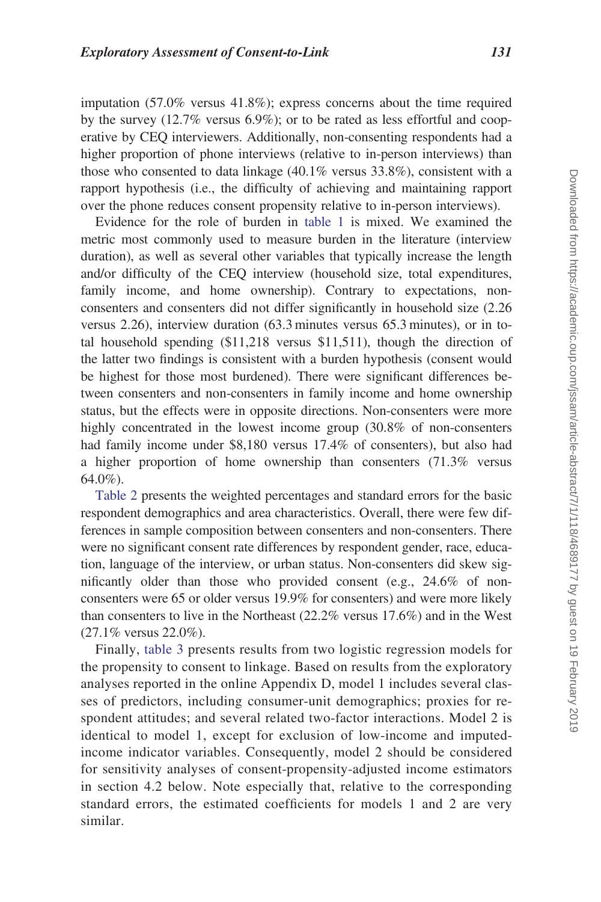imputation (57.0% versus 41.8%); express concerns about the time required by the survey (12.7% versus 6.9%); or to be rated as less effortful and cooperative by CEQ interviewers. Additionally, non-consenting respondents had a higher proportion of phone interviews (relative to in-person interviews) than those who consented to data linkage (40.1% versus 33.8%), consistent with a rapport hypothesis (i.e., the difficulty of achieving and maintaining rapport over the phone reduces consent propensity relative to in-person interviews).

Evidence for the role of burden in [table 1](#page-14-0) is mixed. We examined the metric most commonly used to measure burden in the literature (interview duration), as well as several other variables that typically increase the length and/or difficulty of the CEQ interview (household size, total expenditures, family income, and home ownership). Contrary to expectations, nonconsenters and consenters did not differ significantly in household size (2.26 versus 2.26), interview duration (63.3 minutes versus 65.3 minutes), or in total household spending (\$11,218 versus \$11,511), though the direction of the latter two findings is consistent with a burden hypothesis (consent would be highest for those most burdened). There were significant differences between consenters and non-consenters in family income and home ownership status, but the effects were in opposite directions. Non-consenters were more highly concentrated in the lowest income group (30.8% of non-consenters had family income under \$8,180 versus 17.4% of consenters), but also had a higher proportion of home ownership than consenters (71.3% versus 64.0%).

[Table 2](#page-15-0) presents the weighted percentages and standard errors for the basic respondent demographics and area characteristics. Overall, there were few differences in sample composition between consenters and non-consenters. There were no significant consent rate differences by respondent gender, race, education, language of the interview, or urban status. Non-consenters did skew significantly older than those who provided consent (e.g., 24.6% of nonconsenters were 65 or older versus 19.9% for consenters) and were more likely than consenters to live in the Northeast (22.2% versus 17.6%) and in the West (27.1% versus 22.0%).

Finally, [table 3](#page-16-0) presents results from two logistic regression models for the propensity to consent to linkage. Based on results from the exploratory analyses reported in the online Appendix D, model 1 includes several classes of predictors, including consumer-unit demographics; proxies for respondent attitudes; and several related two-factor interactions. Model 2 is identical to model 1, except for exclusion of low-income and imputedincome indicator variables. Consequently, model 2 should be considered for sensitivity analyses of consent-propensity-adjusted income estimators in section 4.2 below. Note especially that, relative to the corresponding standard errors, the estimated coefficients for models 1 and 2 are very similar.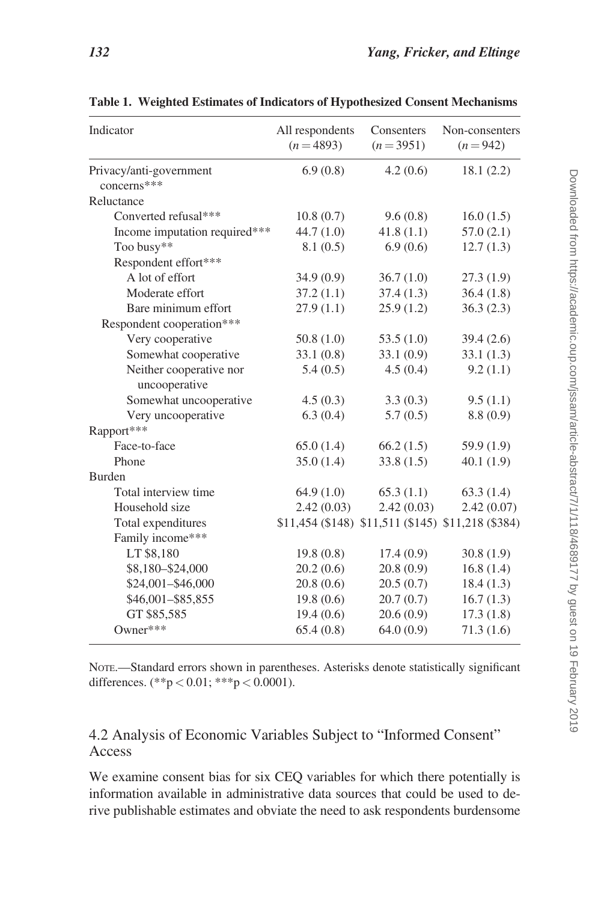| Indicator                                | All respondents<br>$(n=4893)$ | Consenters<br>$(n=3951)$                           | Non-consenters<br>$(n = 942)$ |
|------------------------------------------|-------------------------------|----------------------------------------------------|-------------------------------|
| Privacy/anti-government                  | 6.9(0.8)                      | 4.2(0.6)                                           | 18.1(2.2)                     |
| concerns***                              |                               |                                                    |                               |
| Reluctance                               |                               |                                                    |                               |
| Converted refusal***                     | 10.8(0.7)                     | 9.6(0.8)                                           | 16.0(1.5)                     |
| Income imputation required***            | 44.7(1.0)                     | 41.8(1.1)                                          | 57.0(2.1)                     |
| Too busy**                               | 8.1(0.5)                      | 6.9(0.6)                                           | 12.7(1.3)                     |
| Respondent effort***                     |                               |                                                    |                               |
| A lot of effort                          | 34.9(0.9)                     | 36.7(1.0)                                          | 27.3(1.9)                     |
| Moderate effort                          | 37.2(1.1)                     | 37.4(1.3)                                          | 36.4(1.8)                     |
| Bare minimum effort                      | 27.9(1.1)                     | 25.9(1.2)                                          | 36.3(2.3)                     |
| Respondent cooperation***                |                               |                                                    |                               |
| Very cooperative                         | 50.8(1.0)                     | 53.5(1.0)                                          | 39.4(2.6)                     |
| Somewhat cooperative                     | 33.1(0.8)                     | 33.1(0.9)                                          | 33.1(1.3)                     |
| Neither cooperative nor<br>uncooperative | 5.4(0.5)                      | 4.5(0.4)                                           | 9.2(1.1)                      |
| Somewhat uncooperative                   | 4.5(0.3)                      | 3.3(0.3)                                           | 9.5(1.1)                      |
| Very uncooperative                       | 6.3(0.4)                      | 5.7(0.5)                                           | 8.8(0.9)                      |
| Rapport***                               |                               |                                                    |                               |
| Face-to-face                             | 65.0(1.4)                     | 66.2(1.5)                                          | 59.9(1.9)                     |
| Phone                                    | 35.0(1.4)                     | 33.8(1.5)                                          | 40.1(1.9)                     |
| Burden                                   |                               |                                                    |                               |
| Total interview time                     | 64.9(1.0)                     | 65.3(1.1)                                          | 63.3(1.4)                     |
| Household size                           | 2.42(0.03)                    | 2.42(0.03)                                         | 2.42(0.07)                    |
| Total expenditures                       |                               | \$11,454 (\$148) \$11,511 (\$145) \$11,218 (\$384) |                               |
| Family income***                         |                               |                                                    |                               |
| LT \$8,180                               | 19.8(0.8)                     | 17.4(0.9)                                          | 30.8(1.9)                     |
| \$8,180-\$24,000                         | 20.2(0.6)                     | 20.8(0.9)                                          | 16.8(1.4)                     |
| \$24,001-\$46,000                        | 20.8(0.6)                     | 20.5(0.7)                                          | 18.4(1.3)                     |
| \$46,001-\$85,855                        | 19.8(0.6)                     | 20.7(0.7)                                          | 16.7(1.3)                     |
| GT \$85,585                              | 19.4(0.6)                     | 20.6(0.9)                                          | 17.3(1.8)                     |
| Owner***                                 | 65.4(0.8)                     | 64.0(0.9)                                          | 71.3(1.6)                     |

<span id="page-14-0"></span>Table 1. Weighted Estimates of Indicators of Hypothesized Consent Mechanisms

NOTE.—Standard errors shown in parentheses. Asterisks denote statistically significant differences. (\*\*p < 0.01; \*\*\*p < 0.0001).

## 4.2 Analysis of Economic Variables Subject to "Informed Consent" Access

We examine consent bias for six CEQ variables for which there potentially is information available in administrative data sources that could be used to derive publishable estimates and obviate the need to ask respondents burdensome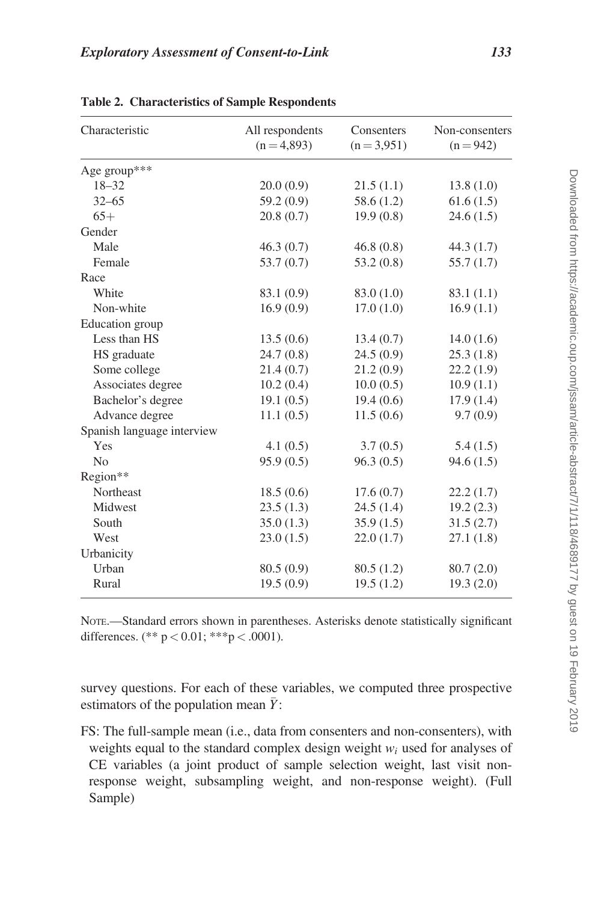| Characteristic             | All respondents<br>$(n=4,893)$ | Consenters<br>$(n=3.951)$ | Non-consenters<br>$(n = 942)$ |
|----------------------------|--------------------------------|---------------------------|-------------------------------|
| Age group***               |                                |                           |                               |
| $18 - 32$                  | 20.0(0.9)                      | 21.5(1.1)                 | 13.8(1.0)                     |
| $32 - 65$                  | 59.2(0.9)                      | 58.6 (1.2)                | 61.6(1.5)                     |
| $65+$                      | 20.8(0.7)                      | 19.9(0.8)                 | 24.6(1.5)                     |
| Gender                     |                                |                           |                               |
| Male                       | 46.3(0.7)                      | 46.8(0.8)                 | 44.3(1.7)                     |
| Female                     | 53.7(0.7)                      | 53.2(0.8)                 | 55.7(1.7)                     |
| Race                       |                                |                           |                               |
| White                      | 83.1 (0.9)                     | 83.0(1.0)                 | 83.1(1.1)                     |
| Non-white                  | 16.9(0.9)                      | 17.0(1.0)                 | 16.9(1.1)                     |
| Education group            |                                |                           |                               |
| Less than HS               | 13.5(0.6)                      | 13.4(0.7)                 | 14.0(1.6)                     |
| HS graduate                | 24.7(0.8)                      | 24.5(0.9)                 | 25.3(1.8)                     |
| Some college               | 21.4(0.7)                      | 21.2(0.9)                 | 22.2(1.9)                     |
| Associates degree          | 10.2(0.4)                      | 10.0(0.5)                 | 10.9(1.1)                     |
| Bachelor's degree          | 19.1(0.5)                      | 19.4(0.6)                 | 17.9(1.4)                     |
| Advance degree             | 11.1(0.5)                      | 11.5(0.6)                 | 9.7(0.9)                      |
| Spanish language interview |                                |                           |                               |
| Yes                        | 4.1(0.5)                       | 3.7(0.5)                  | 5.4(1.5)                      |
| N <sub>o</sub>             | 95.9(0.5)                      | 96.3(0.5)                 | 94.6(1.5)                     |
| Region**                   |                                |                           |                               |
| Northeast                  | 18.5(0.6)                      | 17.6(0.7)                 | 22.2(1.7)                     |
| Midwest                    | 23.5(1.3)                      | 24.5(1.4)                 | 19.2(2.3)                     |
| South                      | 35.0(1.3)                      | 35.9(1.5)                 | 31.5(2.7)                     |
| West                       | 23.0(1.5)                      | 22.0(1.7)                 | 27.1(1.8)                     |
| Urbanicity                 |                                |                           |                               |
| Urban                      | 80.5(0.9)                      | 80.5(1.2)                 | 80.7(2.0)                     |
| Rural                      | 19.5(0.9)                      | 19.5(1.2)                 | 19.3(2.0)                     |

<span id="page-15-0"></span>Table 2. Characteristics of Sample Respondents

NOTE.—Standard errors shown in parentheses. Asterisks denote statistically significant differences. (\*\* p < 0.01; \*\*\*p < .0001).

survey questions. For each of these variables, we computed three prospective estimators of the population mean  $\bar{Y}$ :

FS: The full-sample mean (i.e., data from consenters and non-consenters), with weights equal to the standard complex design weight  $w_i$  used for analyses of CE variables (a joint product of sample selection weight, last visit nonresponse weight, subsampling weight, and non-response weight). (Full Sample)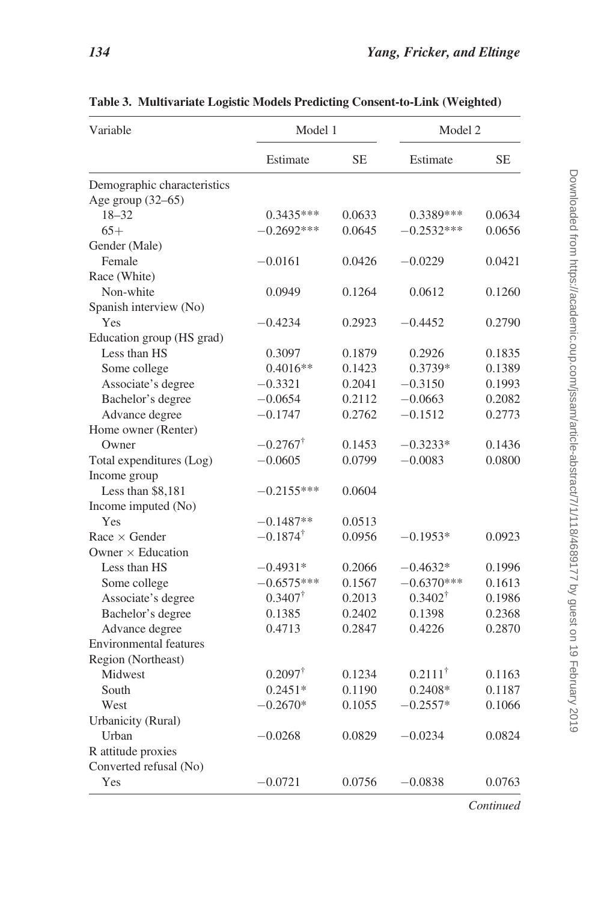| Variable                      | Model 1             |           | Model 2            |           |
|-------------------------------|---------------------|-----------|--------------------|-----------|
|                               | Estimate            | <b>SE</b> | Estimate           | <b>SE</b> |
| Demographic characteristics   |                     |           |                    |           |
| Age group (32-65)             |                     |           |                    |           |
| $18 - 32$                     | $0.3435***$         | 0.0633    | $0.3389***$        | 0.0634    |
| $65+$                         | $-0.2692***$        | 0.0645    | $-0.2532***$       | 0.0656    |
| Gender (Male)                 |                     |           |                    |           |
| Female                        | $-0.0161$           | 0.0426    | $-0.0229$          | 0.0421    |
| Race (White)                  |                     |           |                    |           |
| Non-white                     | 0.0949              | 0.1264    | 0.0612             | 0.1260    |
| Spanish interview (No)        |                     |           |                    |           |
| Yes                           | $-0.4234$           | 0.2923    | $-0.4452$          | 0.2790    |
| Education group (HS grad)     |                     |           |                    |           |
| Less than HS                  | 0.3097              | 0.1879    | 0.2926             | 0.1835    |
| Some college                  | $0.4016**$          | 0.1423    | 0.3739*            | 0.1389    |
| Associate's degree            | $-0.3321$           | 0.2041    | $-0.3150$          | 0.1993    |
| Bachelor's degree             | $-0.0654$           | 0.2112    | $-0.0663$          | 0.2082    |
| Advance degree                | $-0.1747$           | 0.2762    | $-0.1512$          | 0.2773    |
| Home owner (Renter)           |                     |           |                    |           |
| Owner                         | $-0.2767^{\dagger}$ | 0.1453    | $-0.3233*$         | 0.1436    |
| Total expenditures (Log)      | $-0.0605$           | 0.0799    | $-0.0083$          | 0.0800    |
| Income group                  |                     |           |                    |           |
| Less than \$8,181             | $-0.2155***$        | 0.0604    |                    |           |
| Income imputed (No)           |                     |           |                    |           |
| Yes                           | $-0.1487**$         | 0.0513    |                    |           |
| $Race \times Gender$          | $-0.1874^{\dagger}$ | 0.0956    | $-0.1953*$         | 0.0923    |
| Owner $\times$ Education      |                     |           |                    |           |
| Less than HS                  | $-0.4931*$          | 0.2066    | $-0.4632*$         | 0.1996    |
| Some college                  | $-0.6575***$        | 0.1567    | $-0.6370***$       | 0.1613    |
| Associate's degree            | $0.3407^{\dagger}$  | 0.2013    | $0.3402^{\dagger}$ | 0.1986    |
| Bachelor's degree             | 0.1385              | 0.2402    | 0.1398             | 0.2368    |
| Advance degree                | 0.4713              | 0.2847    | 0.4226             | 0.2870    |
| <b>Environmental features</b> |                     |           |                    |           |
| Region (Northeast)            |                     |           |                    |           |
| Midwest                       | $0.2097^{\dagger}$  | 0.1234    | $0.2111^{\dagger}$ | 0.1163    |
| South                         | $0.2451*$           | 0.1190    | 0.2408*            | 0.1187    |
| West                          | $-0.2670*$          | 0.1055    | $-0.2557*$         | 0.1066    |
| Urbanicity (Rural)            |                     |           |                    |           |
| Urban                         | $-0.0268$           | 0.0829    | $-0.0234$          | 0.0824    |
| R attitude proxies            |                     |           |                    |           |
| Converted refusal (No)        |                     |           |                    |           |
| Yes                           | $-0.0721$           | 0.0756    | $-0.0838$          | 0.0763    |

<span id="page-16-0"></span>Table 3. Multivariate Logistic Models Predicting Consent-to-Link (Weighted)

Continued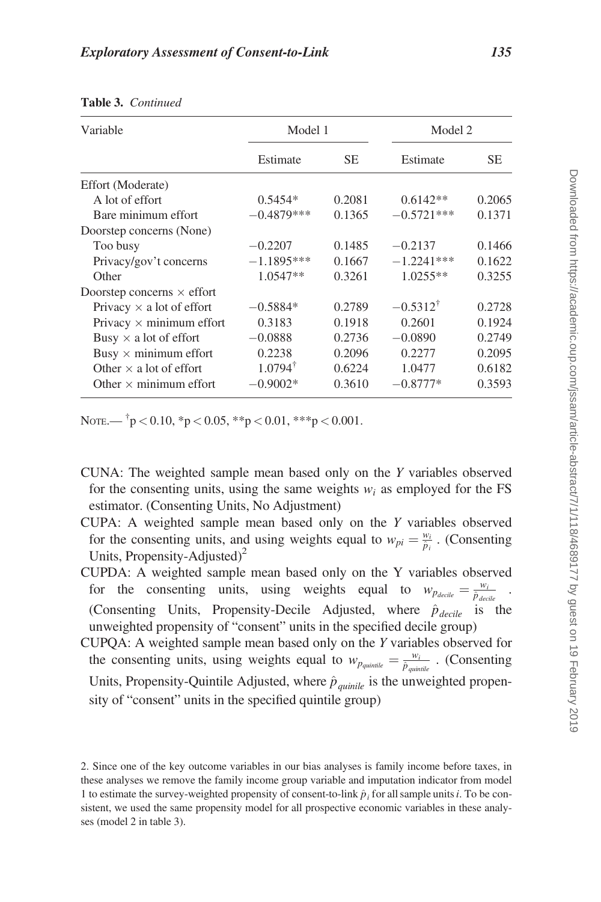| Variable                          | Model 1            |        | Model 2                |           |
|-----------------------------------|--------------------|--------|------------------------|-----------|
|                                   | Estimate           | SE.    | Estimate               | <b>SE</b> |
| Effort (Moderate)                 |                    |        |                        |           |
| A lot of effort                   | $0.5454*$          | 0.2081 | $0.6142**$             | 0.2065    |
| Bare minimum effort               | $-0.4879***$       | 0.1365 | $-0.5721***$           | 0.1371    |
| Doorstep concerns (None)          |                    |        |                        |           |
| Too busy                          | $-0.2207$          | 0.1485 | $-0.2137$              | 0.1466    |
| Privacy/gov't concerns            | $-1.1895***$       | 0.1667 | $-1.2241***$           | 0.1622    |
| Other                             | $1.0547**$         | 0.3261 | $1.0255**$             | 0.3255    |
| Doorstep concerns $\times$ effort |                    |        |                        |           |
| Privacy $\times$ a lot of effort  | $-0.5884*$         | 0.2789 | $-0.5312$ <sup>†</sup> | 0.2728    |
| Privacy $\times$ minimum effort   | 0.3183             | 0.1918 | 0.2601                 | 0.1924    |
| Busy $\times$ a lot of effort     | $-0.0888$          | 0.2736 | $-0.0890$              | 0.2749    |
| Busy $\times$ minimum effort      | 0.2238             | 0.2096 | 0.2277                 | 0.2095    |
| Other $\times$ a lot of effort    | $1.0794^{\dagger}$ | 0.6224 | 1.0477                 | 0.6182    |
| Other $\times$ minimum effort     | $-0.9002*$         | 0.3610 | $-0.8777*$             | 0.3593    |

#### Table 3. Continued

NOTE.— $^{\dagger}$ p < 0.10, \*p < 0.05, \*\*p < 0.01, \*\*\*p < 0.001.

- CUNA: The weighted sample mean based only on the Y variables observed for the consenting units, using the same weights  $w_i$  as employed for the FS estimator. (Consenting Units, No Adjustment)
- CUPA: A weighted sample mean based only on the Y variables observed for the consenting units, and using weights equal to  $w_{pi} = \frac{w_i}{\hat{p}_i}$ . (Consenting Units, Propensity-Adjusted)<sup>2</sup>
- CUPDA: A weighted sample mean based only on the Y variables observed for the consenting units, using weights equal to  $w_{\text{p}_{\text{decile}}} = \frac{w_i}{\hat{p}_{\text{decile}}}$ . (Consenting Units, Propensity-Decile Adjusted, where  $\hat{p}_{\text{decile}}$  is the unweighted propensity of "consent" units in the specified decile group)
- CUPQA: A weighted sample mean based only on the Y variables observed for the consenting units, using weights equal to  $w_{p_{quintile}} = \frac{w_i}{\hat{p}_{quintile}}$ . (Consenting Units, Propensity-Quintile Adjusted, where  $\hat{p}_{\text{quinile}}$  is the unweighted propensity of "consent" units in the specified quintile group)

2. Since one of the key outcome variables in our bias analyses is family income before taxes, in these analyses we remove the family income group variable and imputation indicator from model 1 to estimate the survey-weighted propensity of consent-to-link  $\hat{p}_i$  for all sample units i. To be consistent, we used the same propensity model for all prospective economic variables in these analyses (model 2 in table 3).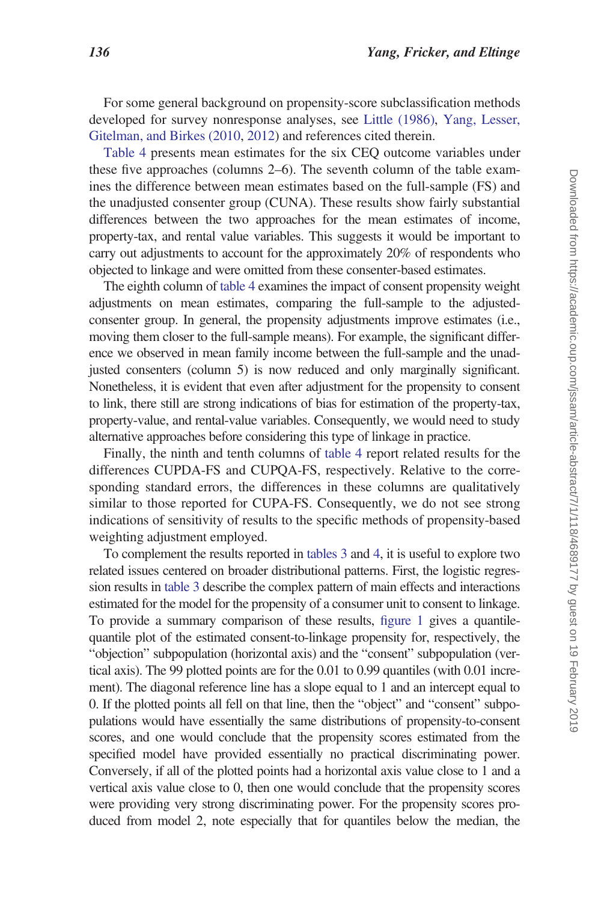For some general background on propensity-score subclassification methods developed for survey nonresponse analyses, see [Little \(1986\)](#page-27-0), [Yang, Lesser,](#page-28-0) [Gitelman, and Birkes \(2010,](#page-28-0) [2012\)](#page-28-0) and references cited therein.

[Table 4](#page-19-0) presents mean estimates for the six CEQ outcome variables under these five approaches (columns 2–6). The seventh column of the table examines the difference between mean estimates based on the full-sample (FS) and the unadjusted consenter group (CUNA). These results show fairly substantial differences between the two approaches for the mean estimates of income, property-tax, and rental value variables. This suggests it would be important to carry out adjustments to account for the approximately 20% of respondents who objected to linkage and were omitted from these consenter-based estimates.

The eighth column of [table 4](#page-19-0) examines the impact of consent propensity weight adjustments on mean estimates, comparing the full-sample to the adjustedconsenter group. In general, the propensity adjustments improve estimates (i.e., moving them closer to the full-sample means). For example, the significant difference we observed in mean family income between the full-sample and the unadjusted consenters (column 5) is now reduced and only marginally significant. Nonetheless, it is evident that even after adjustment for the propensity to consent to link, there still are strong indications of bias for estimation of the property-tax, property-value, and rental-value variables. Consequently, we would need to study alternative approaches before considering this type of linkage in practice.

Finally, the ninth and tenth columns of [table 4](#page-19-0) report related results for the differences CUPDA-FS and CUPQA-FS, respectively. Relative to the corresponding standard errors, the differences in these columns are qualitatively similar to those reported for CUPA-FS. Consequently, we do not see strong indications of sensitivity of results to the specific methods of propensity-based weighting adjustment employed.

To complement the results reported in [tables 3](#page-16-0) and [4](#page-19-0), it is useful to explore two related issues centered on broader distributional patterns. First, the logistic regression results in [table 3](#page-16-0) describe the complex pattern of main effects and interactions estimated for the model for the propensity of a consumer unit to consent to linkage. To provide a summary comparison of these results, [figure 1](#page-20-0) gives a quantilequantile plot of the estimated consent-to-linkage propensity for, respectively, the "objection" subpopulation (horizontal axis) and the "consent" subpopulation (vertical axis). The 99 plotted points are for the 0.01 to 0.99 quantiles (with 0.01 increment). The diagonal reference line has a slope equal to 1 and an intercept equal to 0. If the plotted points all fell on that line, then the "object" and "consent" subpopulations would have essentially the same distributions of propensity-to-consent scores, and one would conclude that the propensity scores estimated from the specified model have provided essentially no practical discriminating power. Conversely, if all of the plotted points had a horizontal axis value close to 1 and a vertical axis value close to 0, then one would conclude that the propensity scores were providing very strong discriminating power. For the propensity scores produced from model 2, note especially that for quantiles below the median, the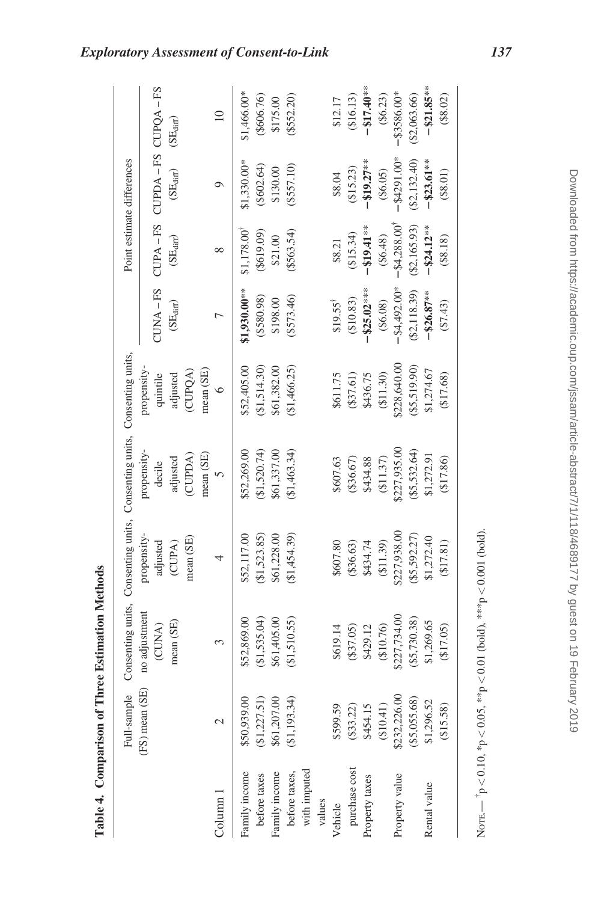<span id="page-19-0"></span>

|                | Full-sample       |                         | Consenting units, Consenting units, Consenting units, Consenting units, |                       |                        |                                 |                                                | Point estimate differences |                      |
|----------------|-------------------|-------------------------|-------------------------------------------------------------------------|-----------------------|------------------------|---------------------------------|------------------------------------------------|----------------------------|----------------------|
|                | (SE)<br>(FS) mean | no adjustment<br>(CUNA) | propensity-<br>adjusted                                                 | propensity-<br>decile | propensity<br>quintile | $CUNA - FS$                     |                                                | CUPA-FS CUPDA-FS CUPQA-FS  |                      |
|                |                   | mean (SE)               | (CUPA)                                                                  | adjusted              | adjusted               | $(\mathrm{SE}_{\mathrm{diff}})$ | $(SE_{\text{diff}})$                           | (SE <sub>diff</sub> )      | $(SE_{\text{diff}})$ |
|                |                   |                         | mean (SE)                                                               | (CUPDA)               | (CUPQA)                |                                 |                                                |                            |                      |
|                |                   |                         |                                                                         | mean $(SE)$           | mean (SE)              |                                 |                                                |                            |                      |
| Column 1       |                   |                         | 4                                                                       | $\sqrt{2}$            | $\circ$                |                                 | ∝                                              |                            |                      |
| Family income  | \$50,939.00       | \$52,869.00             | \$52,117.00                                                             | \$52,269.00           | \$52,405.00            | $$1,930.00**$                   | \$1,178.00                                     | $$1,330.00*$               | \$1,466.00*          |
| before taxes   | $(\$1,227.51)$    | (\$1,535.04)            | (S1, 523.85)                                                            | $(\$1,520.74)$        | (\$1,514.30)           | $(\$580.98)$                    | $($ \$619.09)                                  | $(*602.64)$                | $(*606.76)$          |
| Family income  | \$61,207.00       | \$61,405.00             | \$61,228.00                                                             | \$61,337.00           | \$61,382.00            | \$198.00                        | \$21.00                                        | \$130.00                   | \$175.00             |
| before taxes,  | (1, 193.34)       | (S1, 510.55)            | (61, 454.39)                                                            | (S1,463.34)           | (S1,466.25)            | (5573.46)                       | $(\$563.54)$                                   | (S557.10)                  | $(\$552.20)$         |
| with imputed   |                   |                         |                                                                         |                       |                        |                                 |                                                |                            |                      |
| values         |                   |                         |                                                                         |                       |                        |                                 |                                                |                            |                      |
| Vehicle        | \$599.59          | \$619.14                | \$607.80                                                                | \$607.63              | \$611.75               | $$19.55$ <sup>†</sup>           | \$8.21                                         | \$8.04                     | \$12.17              |
| purchase cost  | $(\$33.22)$       | (337.05)                | (836.63)                                                                | $(*36.67)$            | (337.61)               | (\$10.83)                       | (\$15.34)                                      | (\$15.23)                  | (\$16.13)            |
| Property taxes | \$454.15          | \$429.12                | \$434.74                                                                | \$434.88              | \$436.75               | $-$ \$25.02***                  | $-$ \$19.41**                                  | $-$ \$19.27**              | $-$ \$17.40**        |
|                | $(\$10.41)$       | $(\$10.76)$             | (11.39)                                                                 | (\$11.37)             | (11.30)                | ( \$6.08)                       | $(\$6.48)$                                     | $(\$6.05)$                 | $($ \$6.23)          |
| Property value | \$232,226.00      | \$227,734.00            | \$227,938.00                                                            | \$227,935.00          | \$228,640.00           | $-$ \$4,492.00*                 | $-$ \$4,288.00 <sup><math>\degree</math></sup> | $-$ \$4291.00*             | $-$ \$3586.00*       |
|                | $(\$5,055.68)$    | $(*5,730.38)$           | (S5, 592.27)                                                            | $(\$5,532.64)$        | ( \$5,519.90)          | (S2, 118.39)                    | $(\$2,165.93)$                                 | $(\$2,132.40)$             | $(\$2,063.66)$       |
| Rental value   | \$1,296.52        | \$1,269.65              | \$1,272.40                                                              | \$1,272.91            | \$1,274.67             | $-$ \$26.87**                   | $-$ \$24.12**                                  | $-$ \$23.61**              | $-$ \$21.85**        |
|                | (\$15.58)         | (\$17.05)               | (\$17.81)                                                               | (817.86)              | $(\$17.68)$            | (\$7.43)                        | ( \$8.18)                                      | $($ \$8.01)                | $(\$8.02)$           |
|                |                   |                         |                                                                         |                       |                        |                                 |                                                |                            |                      |

Nor<br/>E. ----  $\mathrm{^{\ddag}p}$  < 0.10, \*p < 0.05, \*\*p < 0.01 (bold), \*\*\*p < 0.001 (bold). Norm  $\dot{p}$  < 0.10, \*p < 0.05, \*\*p < 0.01 (bold), \*\*\*p < 0.001 (bold).

Table 4. Comparison of Three Estimation Methods

Table 4. Comparison of Three Estimation Methods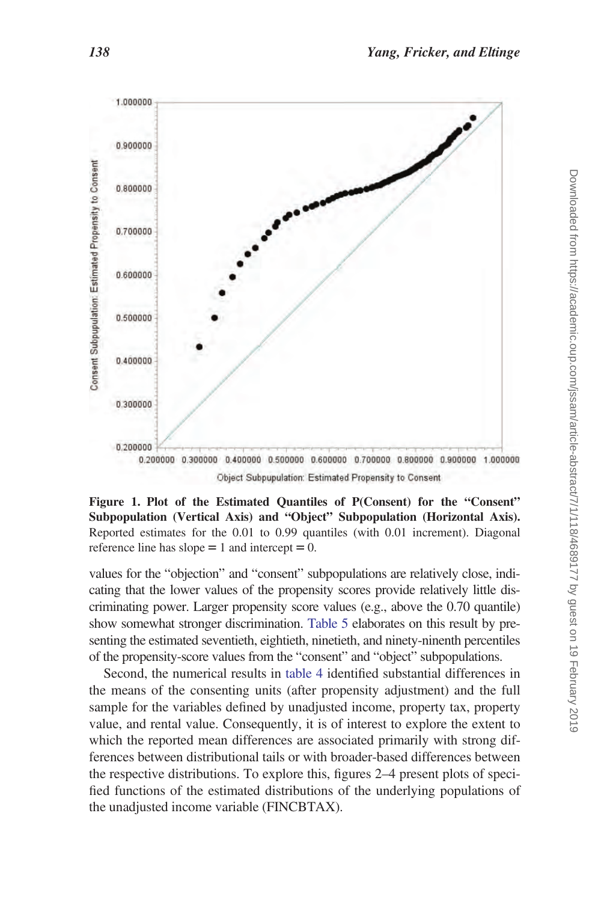<span id="page-20-0"></span>

Figure 1. Plot of the Estimated Quantiles of P(Consent) for the "Consent" Subpopulation (Vertical Axis) and "Object" Subpopulation (Horizontal Axis). Reported estimates for the 0.01 to 0.99 quantiles (with 0.01 increment). Diagonal reference line has slope  $= 1$  and intercept  $= 0$ .

values for the "objection" and "consent" subpopulations are relatively close, indicating that the lower values of the propensity scores provide relatively little discriminating power. Larger propensity score values (e.g., above the 0.70 quantile) show somewhat stronger discrimination. [Table 5](#page-21-0) elaborates on this result by presenting the estimated seventieth, eightieth, ninetieth, and ninety-ninenth percentiles of the propensity-score values from the "consent" and "object" subpopulations.

Second, the numerical results in [table 4](#page-19-0) identified substantial differences in the means of the consenting units (after propensity adjustment) and the full sample for the variables defined by unadjusted income, property tax, property value, and rental value. Consequently, it is of interest to explore the extent to which the reported mean differences are associated primarily with strong differences between distributional tails or with broader-based differences between the respective distributions. To explore this, figures 2–4 present plots of specified functions of the estimated distributions of the underlying populations of the unadjusted income variable (FINCBTAX).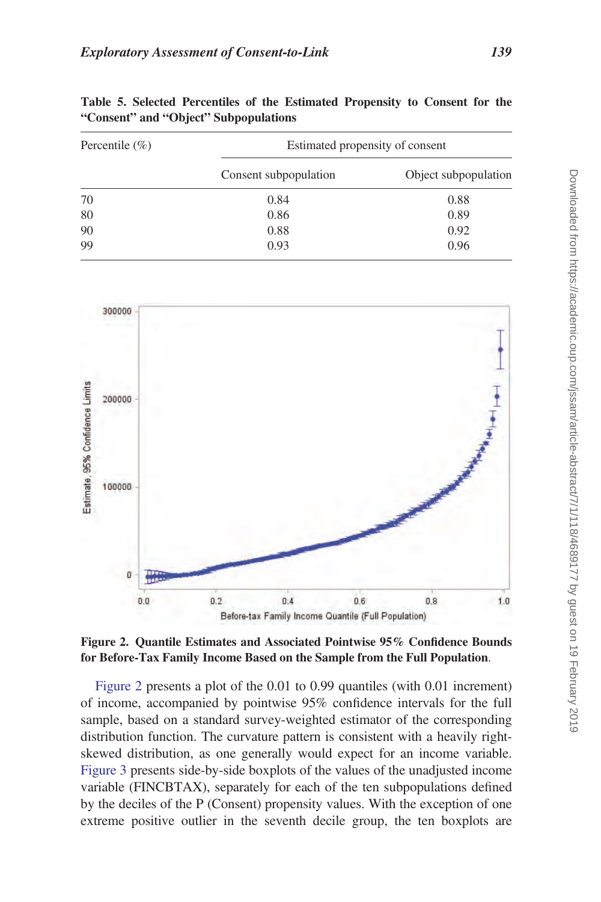| Percentile $(\% )$ | Estimated propensity of consent |                      |
|--------------------|---------------------------------|----------------------|
|                    | Consent subpopulation           | Object subpopulation |
| 70                 | 0.84                            | 0.88                 |
| 80                 | 0.86                            | 0.89                 |
| 90                 | 0.88                            | 0.92                 |
| 99                 | 0.93                            | 0.96                 |

<span id="page-21-0"></span>





Figure 2 presents a plot of the 0.01 to 0.99 quantiles (with 0.01 increment) of income, accompanied by pointwise 95% confidence intervals for the full sample, based on a standard survey-weighted estimator of the corresponding distribution function. The curvature pattern is consistent with a heavily rightskewed distribution, as one generally would expect for an income variable. [Figure 3](#page-22-0) presents side-by-side boxplots of the values of the unadjusted income variable (FINCBTAX), separately for each of the ten subpopulations defined by the deciles of the P (Consent) propensity values. With the exception of one extreme positive outlier in the seventh decile group, the ten boxplots are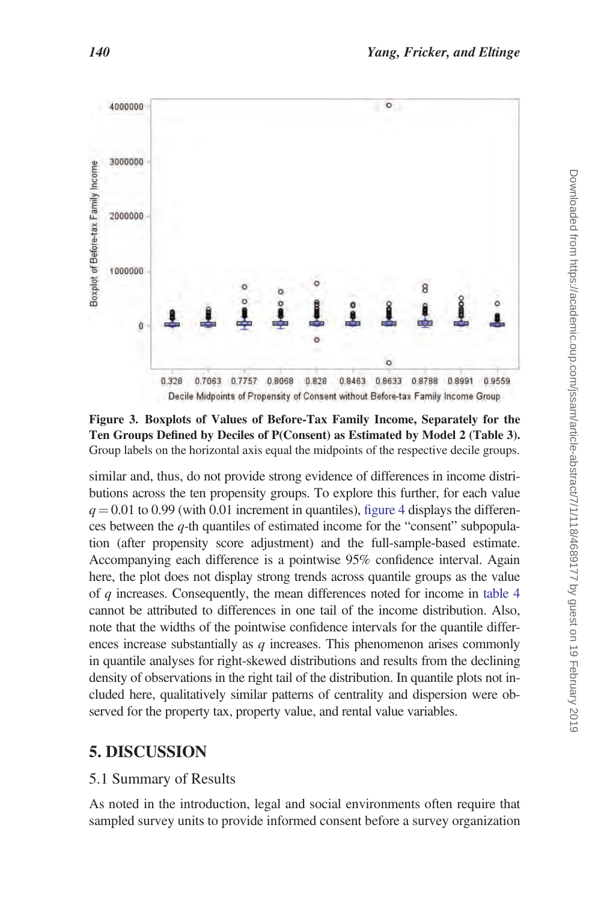<span id="page-22-0"></span>

Figure 3. Boxplots of Values of Before-Tax Family Income, Separately for the Ten Groups Defined by Deciles of P(Consent) as Estimated by Model 2 (Table 3). Group labels on the horizontal axis equal the midpoints of the respective decile groups.

similar and, thus, do not provide strong evidence of differences in income distributions across the ten propensity groups. To explore this further, for each value  $q = 0.01$  to 0.99 (with 0.01 increment in quantiles), [figure 4](#page-23-0) displays the differences between the q-th quantiles of estimated income for the "consent" subpopulation (after propensity score adjustment) and the full-sample-based estimate. Accompanying each difference is a pointwise 95% confidence interval. Again here, the plot does not display strong trends across quantile groups as the value of q increases. Consequently, the mean differences noted for income in [table 4](#page-19-0) cannot be attributed to differences in one tail of the income distribution. Also, note that the widths of the pointwise confidence intervals for the quantile differences increase substantially as  $q$  increases. This phenomenon arises commonly in quantile analyses for right-skewed distributions and results from the declining density of observations in the right tail of the distribution. In quantile plots not included here, qualitatively similar patterns of centrality and dispersion were observed for the property tax, property value, and rental value variables.

## 5. DISCUSSION

## 5.1 Summary of Results

As noted in the introduction, legal and social environments often require that sampled survey units to provide informed consent before a survey organization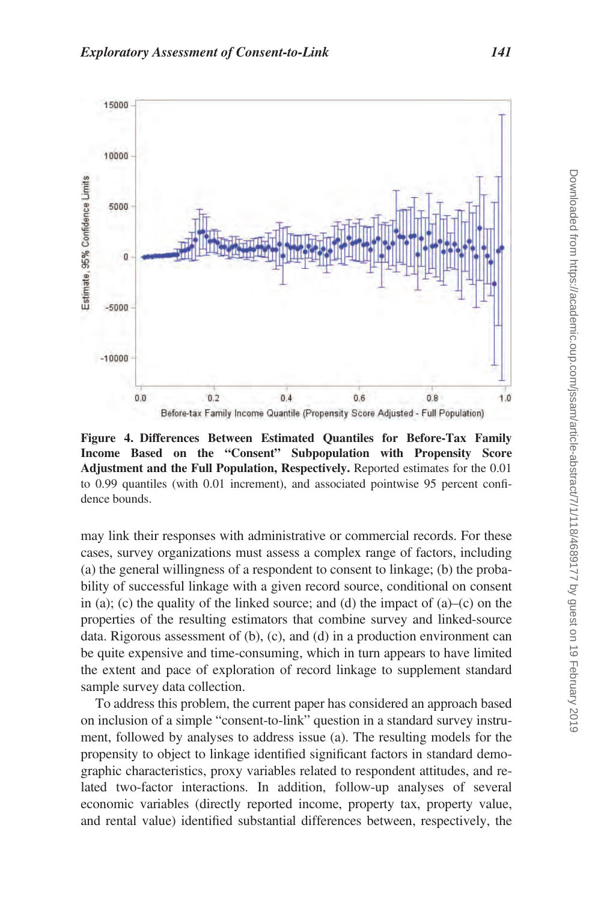<span id="page-23-0"></span>

Figure 4. Differences Between Estimated Quantiles for Before-Tax Family Income Based on the "Consent" Subpopulation with Propensity Score Adjustment and the Full Population, Respectively. Reported estimates for the 0.01 to 0.99 quantiles (with 0.01 increment), and associated pointwise 95 percent confidence bounds.

may link their responses with administrative or commercial records. For these cases, survey organizations must assess a complex range of factors, including (a) the general willingness of a respondent to consent to linkage; (b) the probability of successful linkage with a given record source, conditional on consent in (a); (c) the quality of the linked source; and (d) the impact of (a)–(c) on the properties of the resulting estimators that combine survey and linked-source data. Rigorous assessment of (b), (c), and (d) in a production environment can be quite expensive and time-consuming, which in turn appears to have limited the extent and pace of exploration of record linkage to supplement standard sample survey data collection.

To address this problem, the current paper has considered an approach based on inclusion of a simple "consent-to-link" question in a standard survey instrument, followed by analyses to address issue (a). The resulting models for the propensity to object to linkage identified significant factors in standard demographic characteristics, proxy variables related to respondent attitudes, and related two-factor interactions. In addition, follow-up analyses of several economic variables (directly reported income, property tax, property value, and rental value) identified substantial differences between, respectively, the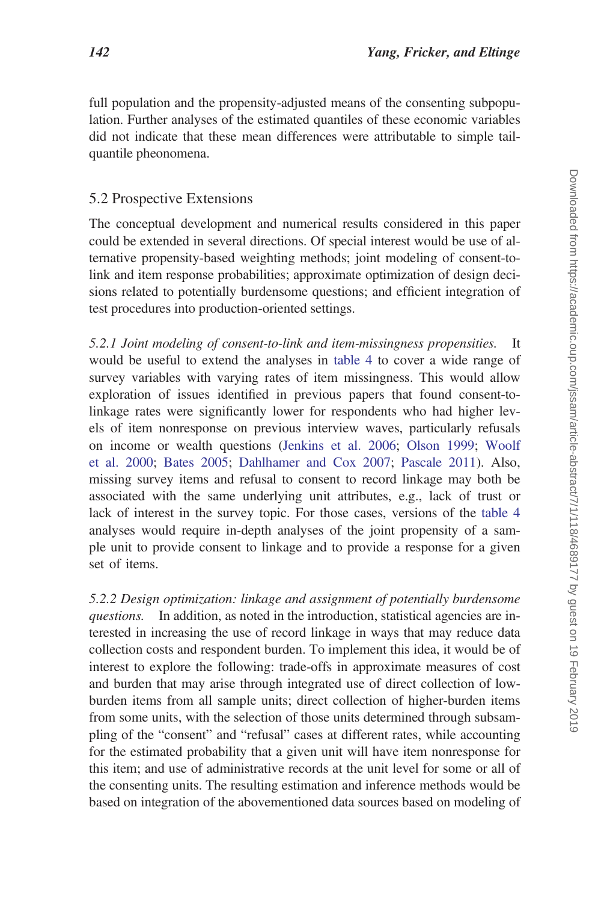full population and the propensity-adjusted means of the consenting subpopulation. Further analyses of the estimated quantiles of these economic variables did not indicate that these mean differences were attributable to simple tailquantile pheonomena.

#### 5.2 Prospective Extensions

The conceptual development and numerical results considered in this paper could be extended in several directions. Of special interest would be use of alternative propensity-based weighting methods; joint modeling of consent-tolink and item response probabilities; approximate optimization of design decisions related to potentially burdensome questions; and efficient integration of test procedures into production-oriented settings.

5.2.1 Joint modeling of consent-to-link and item-missingness propensities. It would be useful to extend the analyses in [table 4](#page-19-0) to cover a wide range of survey variables with varying rates of item missingness. This would allow exploration of issues identified in previous papers that found consent-tolinkage rates were significantly lower for respondents who had higher levels of item nonresponse on previous interview waves, particularly refusals on income or wealth questions [\(Jenkins et al. 2006;](#page-26-0) [Olson 1999](#page-27-0); [Woolf](#page-28-0) [et al. 2000](#page-28-0); [Bates 2005](#page-26-0); [Dahlhamer and Cox 2007;](#page-26-0) [Pascale 2011](#page-27-0)). Also, missing survey items and refusal to consent to record linkage may both be associated with the same underlying unit attributes, e.g., lack of trust or lack of interest in the survey topic. For those cases, versions of the [table 4](#page-19-0) analyses would require in-depth analyses of the joint propensity of a sample unit to provide consent to linkage and to provide a response for a given set of items.

5.2.2 Design optimization: linkage and assignment of potentially burdensome questions. In addition, as noted in the introduction, statistical agencies are interested in increasing the use of record linkage in ways that may reduce data collection costs and respondent burden. To implement this idea, it would be of interest to explore the following: trade-offs in approximate measures of cost and burden that may arise through integrated use of direct collection of lowburden items from all sample units; direct collection of higher-burden items from some units, with the selection of those units determined through subsampling of the "consent" and "refusal" cases at different rates, while accounting for the estimated probability that a given unit will have item nonresponse for this item; and use of administrative records at the unit level for some or all of the consenting units. The resulting estimation and inference methods would be based on integration of the abovementioned data sources based on modeling of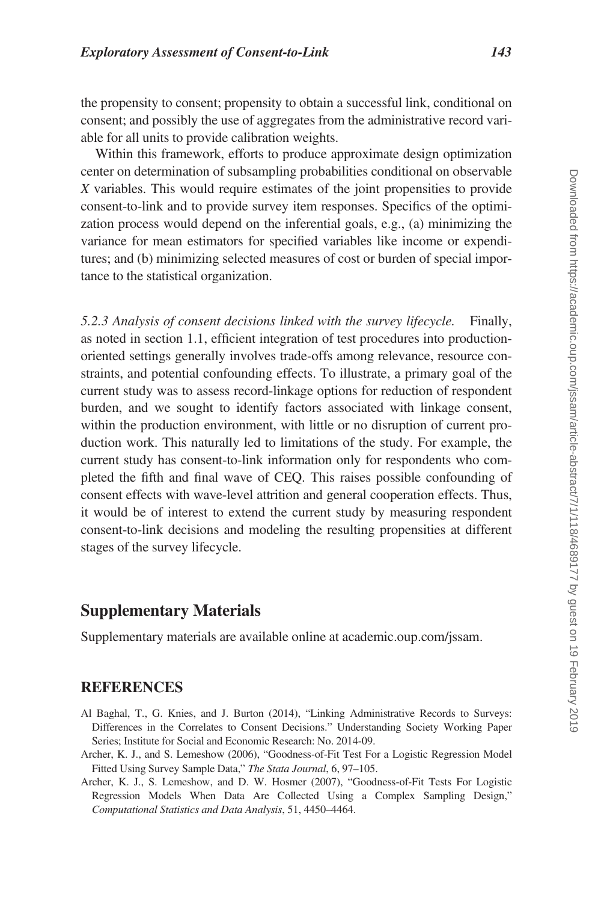<span id="page-25-0"></span>the propensity to consent; propensity to obtain a successful link, conditional on consent; and possibly the use of aggregates from the administrative record variable for all units to provide calibration weights.

Within this framework, efforts to produce approximate design optimization center on determination of subsampling probabilities conditional on observable X variables. This would require estimates of the joint propensities to provide consent-to-link and to provide survey item responses. Specifics of the optimization process would depend on the inferential goals, e.g., (a) minimizing the variance for mean estimators for specified variables like income or expenditures; and (b) minimizing selected measures of cost or burden of special importance to the statistical organization.

5.2.3 Analysis of consent decisions linked with the survey lifecycle. Finally, as noted in section 1.1, efficient integration of test procedures into productionoriented settings generally involves trade-offs among relevance, resource constraints, and potential confounding effects. To illustrate, a primary goal of the current study was to assess record-linkage options for reduction of respondent burden, and we sought to identify factors associated with linkage consent, within the production environment, with little or no disruption of current production work. This naturally led to limitations of the study. For example, the current study has consent-to-link information only for respondents who completed the fifth and final wave of CEQ. This raises possible confounding of consent effects with wave-level attrition and general cooperation effects. Thus, it would be of interest to extend the current study by measuring respondent consent-to-link decisions and modeling the resulting propensities at different stages of the survey lifecycle.

## Supplementary Materials

Supplementary materials are available online at [academic.oup.com/jssam.](https://academic.oup.com/jssam)

#### **REFERENCES**

- Al Baghal, T., G. Knies, and J. Burton (2014), "Linking Administrative Records to Surveys: Differences in the Correlates to Consent Decisions." Understanding Society Working Paper Series; Institute for Social and Economic Research: No. 2014-09.
- Archer, K. J., and S. Lemeshow (2006), "Goodness-of-Fit Test For a Logistic Regression Model Fitted Using Survey Sample Data," The Stata Journal, 6, 97–105.
- Archer, K. J., S. Lemeshow, and D. W. Hosmer (2007), "Goodness-of-Fit Tests For Logistic Regression Models When Data Are Collected Using a Complex Sampling Design," Computational Statistics and Data Analysis, 51, 4450–4464.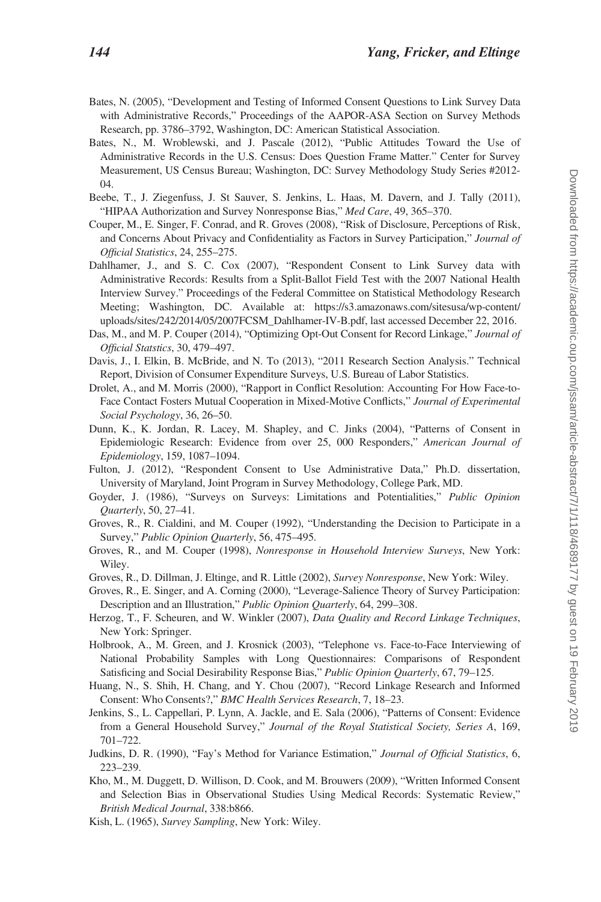- <span id="page-26-0"></span>Bates, N. (2005), "Development and Testing of Informed Consent Questions to Link Survey Data with Administrative Records," Proceedings of the AAPOR-ASA Section on Survey Methods Research, pp. 3786–3792, Washington, DC: American Statistical Association.
- Bates, N., M. Wroblewski, and J. Pascale (2012), "Public Attitudes Toward the Use of Administrative Records in the U.S. Census: Does Question Frame Matter." Center for Survey Measurement, US Census Bureau; Washington, DC: Survey Methodology Study Series #2012- 04.
- Beebe, T., J. Ziegenfuss, J. St Sauver, S. Jenkins, L. Haas, M. Davern, and J. Tally (2011), "HIPAA Authorization and Survey Nonresponse Bias," Med Care, 49, 365-370.
- Couper, M., E. Singer, F. Conrad, and R. Groves (2008), "Risk of Disclosure, Perceptions of Risk, and Concerns About Privacy and Confidentiality as Factors in Survey Participation," Journal of Official Statistics, 24, 255–275.
- Dahlhamer, J., and S. C. Cox (2007), "Respondent Consent to Link Survey data with Administrative Records: Results from a Split-Ballot Field Test with the 2007 National Health Interview Survey." Proceedings of the Federal Committee on Statistical Methodology Research Meeting; Washington, DC. Available at: [https://s3.amazonaws.com/sitesusa/wp-content/](https://s3.amazonaws.com/sitesusa/wp-content/uploads/sites/242/2014/05/2007FCSM_Dahlhamer-IV-B.pdf) [uploads/sites/242/2014/05/2007FCSM\\_Dahlhamer-IV-B.pdf](https://s3.amazonaws.com/sitesusa/wp-content/uploads/sites/242/2014/05/2007FCSM_Dahlhamer-IV-B.pdf), last accessed December 22, 2016.
- Das, M., and M. P. Couper (2014), "Optimizing Opt-Out Consent for Record Linkage," Journal of Official Statstics, 30, 479–497.
- Davis, J., I. Elkin, B. McBride, and N. To (2013), "2011 Research Section Analysis." Technical Report, Division of Consumer Expenditure Surveys, U.S. Bureau of Labor Statistics.
- Drolet, A., and M. Morris (2000), "Rapport in Conflict Resolution: Accounting For How Face-to-Face Contact Fosters Mutual Cooperation in Mixed-Motive Conflicts," Journal of Experimental Social Psychology, 36, 26–50.
- Dunn, K., K. Jordan, R. Lacey, M. Shapley, and C. Jinks (2004), "Patterns of Consent in Epidemiologic Research: Evidence from over 25, 000 Responders," American Journal of Epidemiology, 159, 1087–1094.
- Fulton, J. (2012), "Respondent Consent to Use Administrative Data," Ph.D. dissertation, University of Maryland, Joint Program in Survey Methodology, College Park, MD.
- Goyder, J. (1986), "Surveys on Surveys: Limitations and Potentialities," Public Opinion Quarterly, 50, 27–41.
- Groves, R., R. Cialdini, and M. Couper (1992), "Understanding the Decision to Participate in a Survey," Public Opinion Quarterly, 56, 475–495.
- Groves, R., and M. Couper (1998), Nonresponse in Household Interview Surveys, New York: Wiley.
- Groves, R., D. Dillman, J. Eltinge, and R. Little (2002), Survey Nonresponse, New York: Wiley.
- Groves, R., E. Singer, and A. Corning (2000), "Leverage-Salience Theory of Survey Participation: Description and an Illustration," Public Opinion Quarterly, 64, 299–308.
- Herzog, T., F. Scheuren, and W. Winkler (2007), Data Quality and Record Linkage Techniques, New York: Springer.

Holbrook, A., M. Green, and J. Krosnick (2003), "Telephone vs. Face-to-Face Interviewing of National Probability Samples with Long Questionnaires: Comparisons of Respondent Satisficing and Social Desirability Response Bias," Public Opinion Quarterly, 67, 79–125.

- Huang, N., S. Shih, H. Chang, and Y. Chou (2007), "Record Linkage Research and Informed Consent: Who Consents?," BMC Health Services Research, 7, 18–23.
- Jenkins, S., L. Cappellari, P. Lynn, A. Jackle, and E. Sala (2006), "Patterns of Consent: Evidence from a General Household Survey," Journal of the Royal Statistical Society, Series A, 169, 701–722.
- Judkins, D. R. (1990), "Fay's Method for Variance Estimation," Journal of Official Statistics, 6, 223–239.
- Kho, M., M. Duggett, D. Willison, D. Cook, and M. Brouwers (2009), "Written Informed Consent and Selection Bias in Observational Studies Using Medical Records: Systematic Review," British Medical Journal, 338:b866.
- Kish, L. (1965), Survey Sampling, New York: Wiley.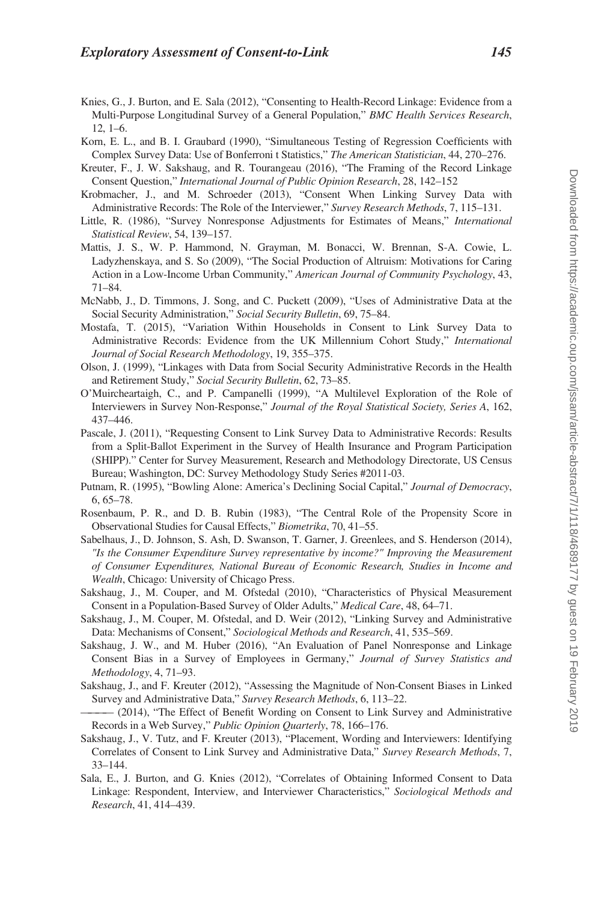- <span id="page-27-0"></span>Knies, G., J. Burton, and E. Sala (2012), "Consenting to Health-Record Linkage: Evidence from a Multi-Purpose Longitudinal Survey of a General Population," BMC Health Services Research, 12, 1–6.
- Korn, E. L., and B. I. Graubard (1990), "Simultaneous Testing of Regression Coefficients with Complex Survey Data: Use of Bonferroni t Statistics," The American Statistician, 44, 270–276.
- Kreuter, F., J. W. Sakshaug, and R. Tourangeau (2016), "The Framing of the Record Linkage Consent Question," International Journal of Public Opinion Research, 28, 142–152
- Krobmacher, J., and M. Schroeder (2013), "Consent When Linking Survey Data with Administrative Records: The Role of the Interviewer," Survey Research Methods, 7, 115–131.
- Little, R. (1986), "Survey Nonresponse Adjustments for Estimates of Means," International Statistical Review, 54, 139–157.
- Mattis, J. S., W. P. Hammond, N. Grayman, M. Bonacci, W. Brennan, S-A. Cowie, L. Ladyzhenskaya, and S. So (2009), "The Social Production of Altruism: Motivations for Caring Action in a Low-Income Urban Community," American Journal of Community Psychology, 43, 71–84.
- McNabb, J., D. Timmons, J. Song, and C. Puckett (2009), "Uses of Administrative Data at the Social Security Administration," Social Security Bulletin, 69, 75–84.
- Mostafa, T. (2015), "Variation Within Households in Consent to Link Survey Data to Administrative Records: Evidence from the UK Millennium Cohort Study," International Journal of Social Research Methodology, 19, 355–375.
- Olson, J. (1999), "Linkages with Data from Social Security Administrative Records in the Health and Retirement Study," Social Security Bulletin, 62, 73–85.
- O'Muircheartaigh, C., and P. Campanelli (1999), "A Multilevel Exploration of the Role of Interviewers in Survey Non-Response," Journal of the Royal Statistical Society, Series A, 162, 437–446.
- Pascale, J. (2011), "Requesting Consent to Link Survey Data to Administrative Records: Results from a Split-Ballot Experiment in the Survey of Health Insurance and Program Participation (SHIPP)." Center for Survey Measurement, Research and Methodology Directorate, US Census Bureau; Washington, DC: Survey Methodology Study Series #2011-03.
- Putnam, R. (1995), "Bowling Alone: America's Declining Social Capital," Journal of Democracy, 6, 65–78.
- Rosenbaum, P. R., and D. B. Rubin (1983), "The Central Role of the Propensity Score in Observational Studies for Causal Effects," Biometrika, 70, 41–55.
- Sabelhaus, J., D. Johnson, S. Ash, D. Swanson, T. Garner, J. Greenlees, and S. Henderson (2014), "Is the Consumer Expenditure Survey representative by income?" Improving the Measurement of Consumer Expenditures, National Bureau of Economic Research, Studies in Income and Wealth, Chicago: University of Chicago Press.
- Sakshaug, J., M. Couper, and M. Ofstedal (2010), "Characteristics of Physical Measurement Consent in a Population-Based Survey of Older Adults," Medical Care, 48, 64–71.
- Sakshaug, J., M. Couper, M. Ofstedal, and D. Weir (2012), "Linking Survey and Administrative Data: Mechanisms of Consent," Sociological Methods and Research, 41, 535–569.
- Sakshaug, J. W., and M. Huber (2016), "An Evaluation of Panel Nonresponse and Linkage Consent Bias in a Survey of Employees in Germany," Journal of Survey Statistics and Methodology, 4, 71–93.
- Sakshaug, J., and F. Kreuter (2012), "Assessing the Magnitude of Non-Consent Biases in Linked Survey and Administrative Data," Survey Research Methods, 6, 113–22.
- (2014), "The Effect of Benefit Wording on Consent to Link Survey and Administrative Records in a Web Survey," Public Opinion Quarterly, 78, 166–176.
- Sakshaug, J., V. Tutz, and F. Kreuter (2013), "Placement, Wording and Interviewers: Identifying Correlates of Consent to Link Survey and Administrative Data," Survey Research Methods, 7, 33–144.
- Sala, E., J. Burton, and G. Knies (2012), "Correlates of Obtaining Informed Consent to Data Linkage: Respondent, Interview, and Interviewer Characteristics," Sociological Methods and Research, 41, 414–439.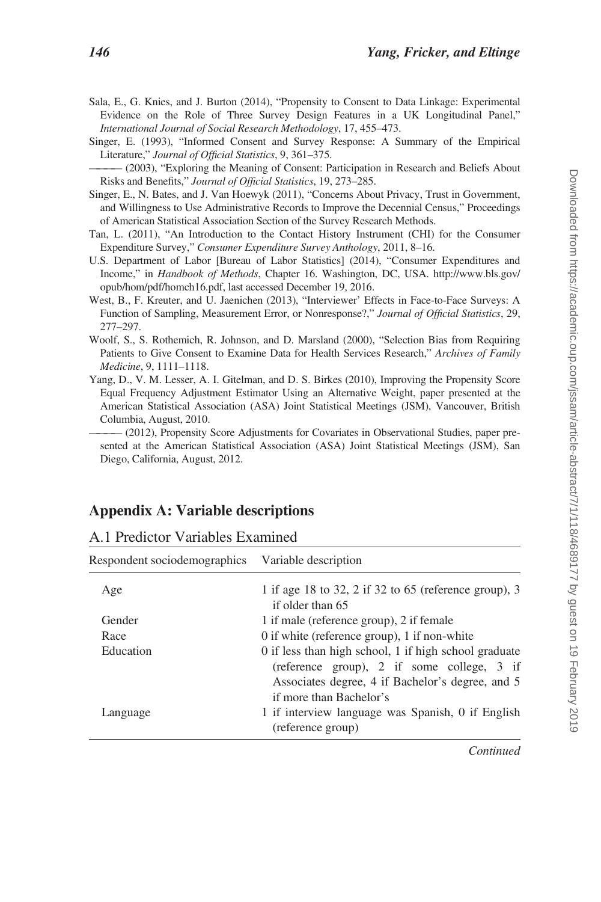- <span id="page-28-0"></span>Sala, E., G. Knies, and J. Burton (2014), "Propensity to Consent to Data Linkage: Experimental Evidence on the Role of Three Survey Design Features in a UK Longitudinal Panel," International Journal of Social Research Methodology, 17, 455–473.
- Singer, E. (1993), "Informed Consent and Survey Response: A Summary of the Empirical Literature," Journal of Official Statistics, 9, 361–375.

– (2003), "Exploring the Meaning of Consent: Participation in Research and Beliefs About Risks and Benefits," Journal of Official Statistics, 19, 273–285.

- Singer, E., N. Bates, and J. Van Hoewyk (2011), "Concerns About Privacy, Trust in Government, and Willingness to Use Administrative Records to Improve the Decennial Census," Proceedings of American Statistical Association Section of the Survey Research Methods.
- Tan, L. (2011), "An Introduction to the Contact History Instrument (CHI) for the Consumer Expenditure Survey," Consumer Expenditure Survey Anthology, 2011, 8–16.
- U.S. Department of Labor [Bureau of Labor Statistics] (2014), "Consumer Expenditures and Income," in Handbook of Methods, Chapter 16. Washington, DC, USA. [http://www.bls.gov/](http://www.bls.gov/opub/hom/pdf/homch16.pdf) [opub/hom/pdf/homch16.pdf](http://www.bls.gov/opub/hom/pdf/homch16.pdf), last accessed December 19, 2016.
- West, B., F. Kreuter, and U. Jaenichen (2013), "Interviewer' Effects in Face-to-Face Surveys: A Function of Sampling, Measurement Error, or Nonresponse?," Journal of Official Statistics, 29, 277–297.
- Woolf, S., S. Rothemich, R. Johnson, and D. Marsland (2000), "Selection Bias from Requiring Patients to Give Consent to Examine Data for Health Services Research," Archives of Family Medicine, 9, 1111–1118.
- Yang, D., V. M. Lesser, A. I. Gitelman, and D. S. Birkes (2010), Improving the Propensity Score Equal Frequency Adjustment Estimator Using an Alternative Weight, paper presented at the American Statistical Association (ASA) Joint Statistical Meetings (JSM), Vancouver, British Columbia, August, 2010.
- (2012), Propensity Score Adjustments for Covariates in Observational Studies, paper presented at the American Statistical Association (ASA) Joint Statistical Meetings (JSM), San Diego, California, August, 2012.

## Appendix A: Variable descriptions

| Respondent sociodemographics Variable description |                                                                                                                                                                                    |
|---------------------------------------------------|------------------------------------------------------------------------------------------------------------------------------------------------------------------------------------|
| Age                                               | 1 if age 18 to 32, 2 if 32 to 65 (reference group), 3<br>if older than 65                                                                                                          |
| Gender                                            | 1 if male (reference group), 2 if female                                                                                                                                           |
| Race                                              | 0 if white (reference group), 1 if non-white                                                                                                                                       |
| Education                                         | 0 if less than high school, 1 if high school graduate<br>(reference group), 2 if some college, 3 if<br>Associates degree, 4 if Bachelor's degree, and 5<br>if more than Bachelor's |
| Language                                          | 1 if interview language was Spanish, 0 if English<br>(reference group)                                                                                                             |
|                                                   |                                                                                                                                                                                    |

A.1 Predictor Variables Examined

Continued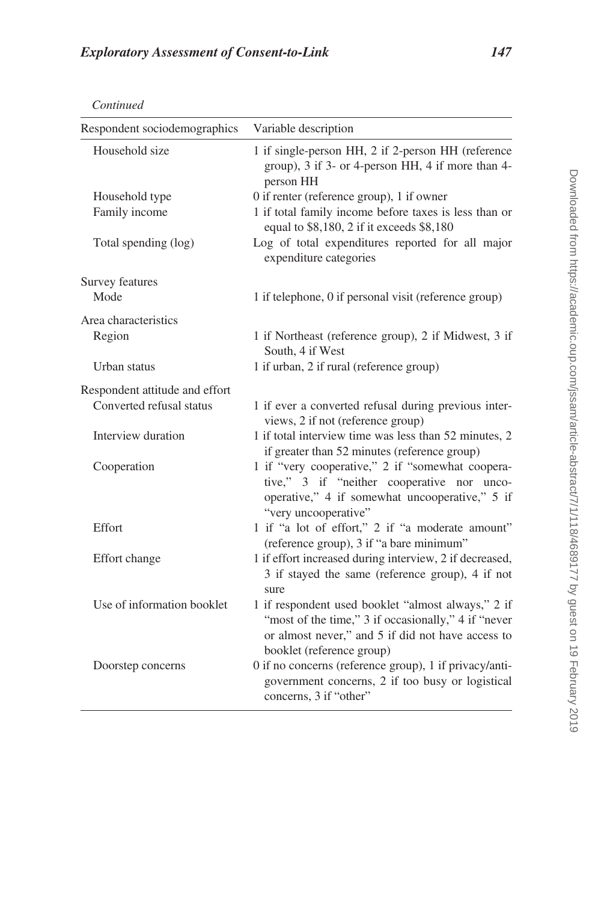## Exploratory Assessment of Consent-to-Link 147

| Respondent sociodemographics   | Variable description                                                                                                                                                                        |
|--------------------------------|---------------------------------------------------------------------------------------------------------------------------------------------------------------------------------------------|
| Household size                 | 1 if single-person HH, 2 if 2-person HH (reference<br>group), 3 if 3- or 4-person HH, 4 if more than 4-<br>person HH                                                                        |
| Household type                 | 0 if renter (reference group), 1 if owner                                                                                                                                                   |
| Family income                  | 1 if total family income before taxes is less than or<br>equal to \$8,180, 2 if it exceeds \$8,180                                                                                          |
| Total spending (log)           | Log of total expenditures reported for all major<br>expenditure categories                                                                                                                  |
| Survey features                |                                                                                                                                                                                             |
| Mode                           | 1 if telephone, 0 if personal visit (reference group)                                                                                                                                       |
| Area characteristics           |                                                                                                                                                                                             |
| Region                         | 1 if Northeast (reference group), 2 if Midwest, 3 if<br>South, 4 if West                                                                                                                    |
| Urban status                   | 1 if urban, 2 if rural (reference group)                                                                                                                                                    |
| Respondent attitude and effort |                                                                                                                                                                                             |
| Converted refusal status       | 1 if ever a converted refusal during previous inter-<br>views, 2 if not (reference group)                                                                                                   |
| Interview duration             | 1 if total interview time was less than 52 minutes, 2<br>if greater than 52 minutes (reference group)                                                                                       |
| Cooperation                    | 1 if "very cooperative," 2 if "somewhat coopera-<br>tive," 3 if "neither cooperative nor unco-<br>operative," 4 if somewhat uncooperative," 5 if<br>"very uncooperative"                    |
| Effort                         | 1 if "a lot of effort," 2 if "a moderate amount"<br>(reference group), 3 if "a bare minimum"                                                                                                |
| Effort change                  | 1 if effort increased during interview, 2 if decreased,<br>3 if stayed the same (reference group), 4 if not<br>sure                                                                         |
| Use of information booklet     | 1 if respondent used booklet "almost always," 2 if<br>"most of the time," 3 if occasionally," 4 if "never<br>or almost never," and 5 if did not have access to<br>booklet (reference group) |
| Doorstep concerns              | 0 if no concerns (reference group), 1 if privacy/anti-<br>government concerns, 2 if too busy or logistical<br>concerns, 3 if "other"                                                        |

#### Continued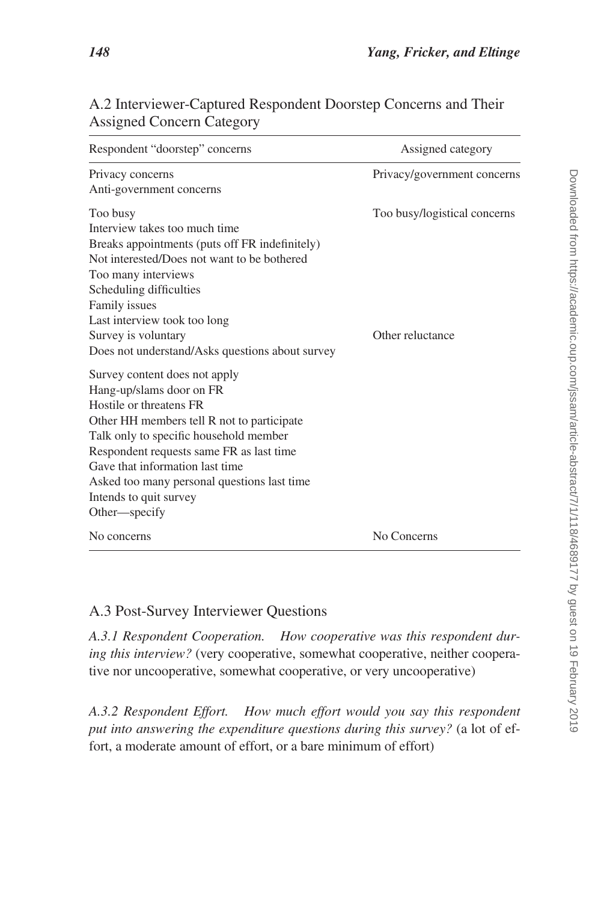| Respondent "doorstep" concerns<br>Privacy concerns<br>Anti-government concerns<br>Too busy<br>Interview takes too much time                                                                                                                                                                                                                                                                                                                                                                                                                                                                                                         | Assigned category<br>Privacy/government concerns<br>Too busy/logistical concerns |
|-------------------------------------------------------------------------------------------------------------------------------------------------------------------------------------------------------------------------------------------------------------------------------------------------------------------------------------------------------------------------------------------------------------------------------------------------------------------------------------------------------------------------------------------------------------------------------------------------------------------------------------|----------------------------------------------------------------------------------|
|                                                                                                                                                                                                                                                                                                                                                                                                                                                                                                                                                                                                                                     |                                                                                  |
|                                                                                                                                                                                                                                                                                                                                                                                                                                                                                                                                                                                                                                     |                                                                                  |
| Breaks appointments (puts off FR indefinitely)<br>Not interested/Does not want to be bothered<br>Too many interviews<br>Scheduling difficulties<br>Family issues<br>Last interview took too long<br>Survey is voluntary<br>Does not understand/Asks questions about survey<br>Survey content does not apply<br>Hang-up/slams door on FR<br>Hostile or threatens FR<br>Other HH members tell R not to participate<br>Talk only to specific household member<br>Respondent requests same FR as last time<br>Gave that information last time<br>Asked too many personal questions last time<br>Intends to quit survey<br>Other—specify | Other reluctance                                                                 |
| No concerns                                                                                                                                                                                                                                                                                                                                                                                                                                                                                                                                                                                                                         | No Concerns                                                                      |

# A.2 Interviewer-Captured Respondent Doorstep Concerns and Their Assigned Concern Category

# A.3 Post-Survey Interviewer Questions

A.3.1 Respondent Cooperation. How cooperative was this respondent during this interview? (very cooperative, somewhat cooperative, neither cooperative nor uncooperative, somewhat cooperative, or very uncooperative)

A.3.2 Respondent Effort. How much effort would you say this respondent put into answering the expenditure questions during this survey? (a lot of effort, a moderate amount of effort, or a bare minimum of effort)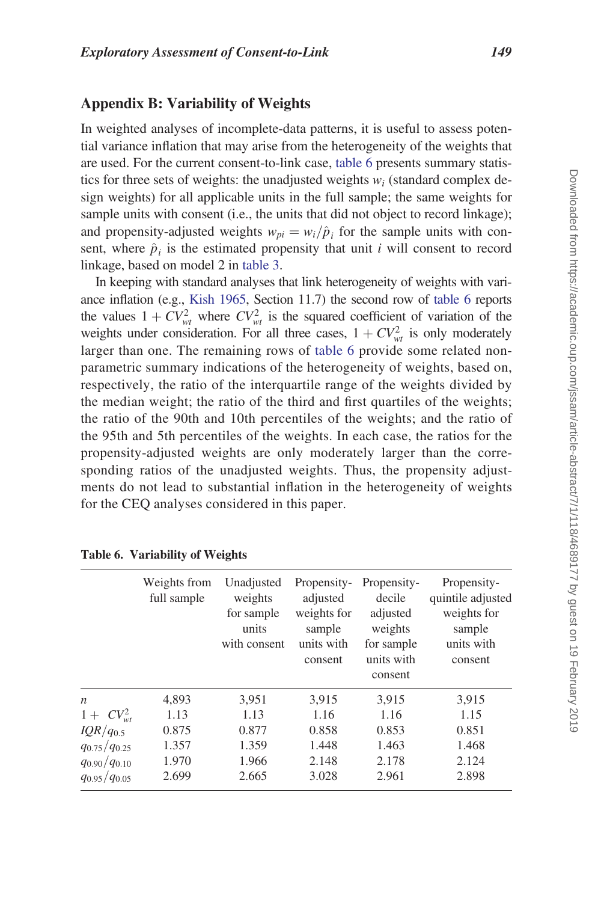### Appendix B: Variability of Weights

In weighted analyses of incomplete-data patterns, it is useful to assess potential variance inflation that may arise from the heterogeneity of the weights that are used. For the current consent-to-link case, table 6 presents summary statistics for three sets of weights: the unadjusted weights  $w_i$  (standard complex design weights) for all applicable units in the full sample; the same weights for sample units with consent (i.e., the units that did not object to record linkage); and propensity-adjusted weights  $w_{pi} = w_i / \hat{p}_i$  for the sample units with consent, where  $\hat{p}_i$  is the estimated propensity that unit i will consent to record linkage, based on model 2 in [table 3.](#page-16-0)

In keeping with standard analyses that link heterogeneity of weights with variance inflation (e.g., [Kish 1965,](#page-26-0) Section 11.7) the second row of table 6 reports the values  $1 + CV_{wt}^2$  where  $CV_{wt}^2$  is the squared coefficient of variation of the weights under consideration. For all three cases,  $1 + CV_{wt}^2$  is only moderately larger than one. The remaining rows of table 6 provide some related nonparametric summary indications of the heterogeneity of weights, based on, respectively, the ratio of the interquartile range of the weights divided by the median weight; the ratio of the third and first quartiles of the weights; the ratio of the 90th and 10th percentiles of the weights; and the ratio of the 95th and 5th percentiles of the weights. In each case, the ratios for the propensity-adjusted weights are only moderately larger than the corresponding ratios of the unadjusted weights. Thus, the propensity adjustments do not lead to substantial inflation in the heterogeneity of weights for the CEQ analyses considered in this paper.

|                     | Weights from<br>full sample | Unadjusted<br>weights<br>for sample<br>units<br>with consent | Propensity-<br>adjusted<br>weights for<br>sample<br>units with<br>consent | Propensity-<br>decile<br>adjusted<br>weights<br>for sample<br>units with<br>consent | Propensity-<br>quintile adjusted<br>weights for<br>sample<br>units with<br>consent |
|---------------------|-----------------------------|--------------------------------------------------------------|---------------------------------------------------------------------------|-------------------------------------------------------------------------------------|------------------------------------------------------------------------------------|
| $\boldsymbol{n}$    | 4,893                       | 3,951                                                        | 3,915                                                                     | 3,915                                                                               | 3,915                                                                              |
| $1 + CV_{wt}^2$     | 1.13                        | 1.13                                                         | 1.16                                                                      | 1.16                                                                                | 1.15                                                                               |
| $IQR/q_{0.5}$       | 0.875                       | 0.877                                                        | 0.858                                                                     | 0.853                                                                               | 0.851                                                                              |
| $q_{0.75}/q_{0.25}$ | 1.357                       | 1.359                                                        | 1.448                                                                     | 1.463                                                                               | 1.468                                                                              |
| $q_{0.90}/q_{0.10}$ | 1.970                       | 1.966                                                        | 2.148                                                                     | 2.178                                                                               | 2.124                                                                              |
| $q_{0.95}/q_{0.05}$ | 2.699                       | 2.665                                                        | 3.028                                                                     | 2.961                                                                               | 2.898                                                                              |

#### Table 6. Variability of Weights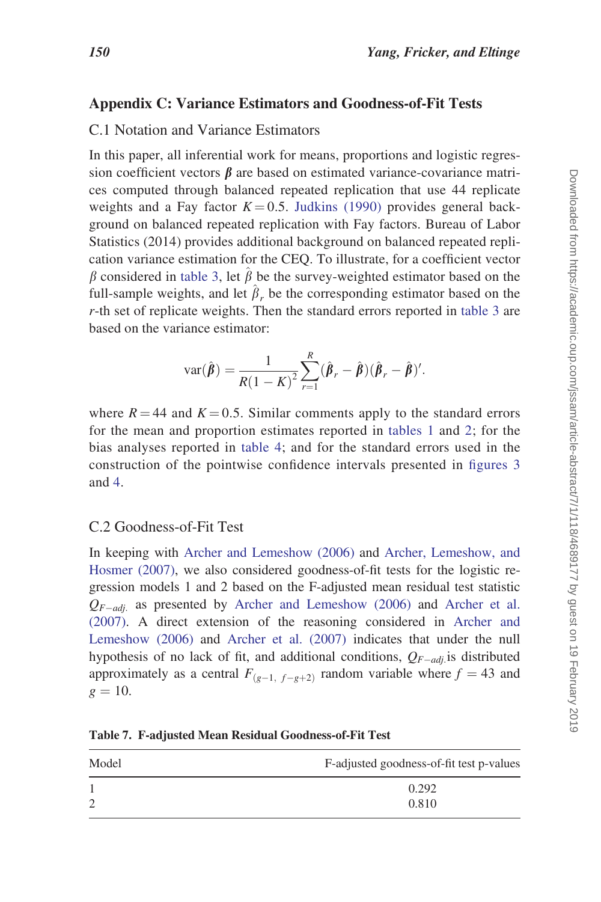## <span id="page-32-0"></span>Appendix C: Variance Estimators and Goodness-of-Fit Tests

## C.1 Notation and Variance Estimators

In this paper, all inferential work for means, proportions and logistic regression coefficient vectors  $\beta$  are based on estimated variance-covariance matrices computed through balanced repeated replication that use 44 replicate weights and a Fay factor  $K = 0.5$ . [Judkins \(1990\)](#page-26-0) provides general background on balanced repeated replication with Fay factors. Bureau of Labor Statistics (2014) provides additional background on balanced repeated replication variance estimation for the CEQ. To illustrate, for a coefficient vector  $\beta$  considered in [table 3](#page-16-0), let  $\hat{\beta}$  be the survey-weighted estimator based on the full-sample weights, and let  $\hat{\beta}_r$  be the corresponding estimator based on the r-th set of replicate weights. Then the standard errors reported in [table 3](#page-16-0) are based on the variance estimator:

$$
\text{var}(\hat{\boldsymbol{\beta}}) = \frac{1}{R(1-K)^2} \sum_{r=1}^R (\hat{\boldsymbol{\beta}}_r - \hat{\boldsymbol{\beta}})(\hat{\boldsymbol{\beta}}_r - \hat{\boldsymbol{\beta}})'.
$$

where  $R = 44$  and  $K = 0.5$ . Similar comments apply to the standard errors for the mean and proportion estimates reported in [tables 1](#page-14-0) and [2](#page-15-0); for the bias analyses reported in [table 4;](#page-19-0) and for the standard errors used in the construction of the pointwise confidence intervals presented in [figures 3](#page-22-0) and [4.](#page-23-0)

### C.2 Goodness-of-Fit Test

In keeping with [Archer and Lemeshow \(2006\)](#page-25-0) and [Archer, Lemeshow, and](#page-25-0) [Hosmer \(2007\),](#page-25-0) we also considered goodness-of-fit tests for the logistic regression models 1 and 2 based on the F-adjusted mean residual test statistic  $Q_{F-adj.}$  as presented by [Archer and Lemeshow \(2006\)](#page-25-0) and [Archer et al.](#page-25-0) [\(2007\)](#page-25-0). A direct extension of the reasoning considered in [Archer and](#page-25-0) [Lemeshow \(2006\)](#page-25-0) and [Archer et al. \(2007\)](#page-25-0) indicates that under the null hypothesis of no lack of fit, and additional conditions,  $Q_{F-adj}$  is distributed approximately as a central  $F_{(g-1, f-g+2)}$  random variable where  $f = 43$  and  $g = 10$ .

| Model          | F-adjusted goodness-of-fit test p-values |
|----------------|------------------------------------------|
|                | 0.292                                    |
| $\overline{c}$ | 0.810                                    |

Table 7. F-adjusted Mean Residual Goodness-of-Fit Test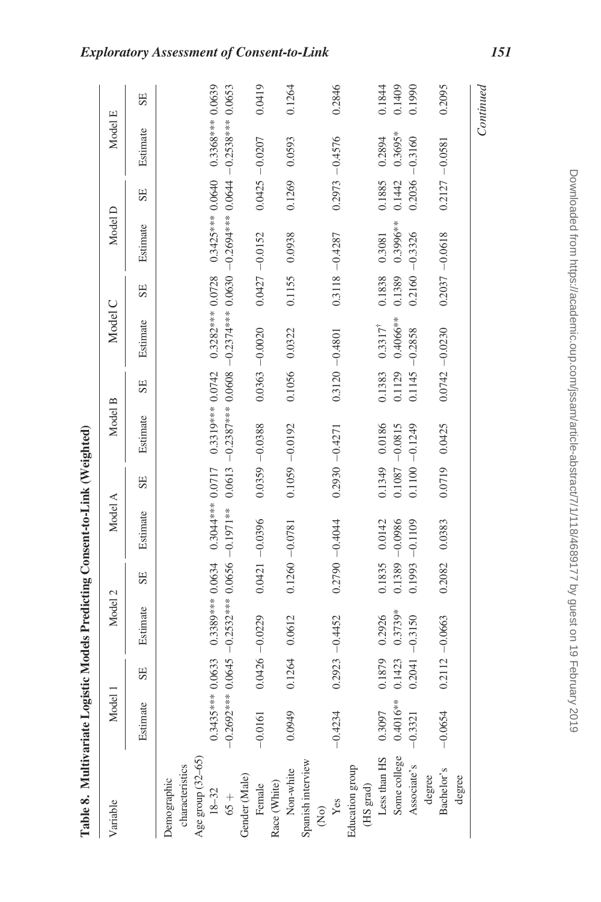| Variable                       | Model            |        | Model 2                                                                                                                                                                                                                       |        | Model A                             |        | Model B           |                   | Model C            |        | Model D           |        | Model E           |        |
|--------------------------------|------------------|--------|-------------------------------------------------------------------------------------------------------------------------------------------------------------------------------------------------------------------------------|--------|-------------------------------------|--------|-------------------|-------------------|--------------------|--------|-------------------|--------|-------------------|--------|
|                                | Estimate         | SE     | Estimate                                                                                                                                                                                                                      | SE     | Estimate                            | SE     | Estimate          | SE                | Estimate           | SE     | Estimate          | SE     | Estimate          | SE     |
| characteristics<br>Demographic |                  |        |                                                                                                                                                                                                                               |        |                                     |        |                   |                   |                    |        |                   |        |                   |        |
| Age group (32-65)<br>$18 - 32$ | 0.3435*** 0.0633 |        |                                                                                                                                                                                                                               |        | $0.3389***0.0634$ $0.3044***0.0717$ |        | 0.3319*** 0.0742  |                   | $0.3282***0.0728$  |        | $0.3425***0.0640$ |        | 0.3368*** 0.0639  |        |
| $+50$                          |                  |        | 553(10000 ****036701 + 5460101 + 54603(101 - 6501010 + 74601010 + 6501010 + 74601010 + 65010010 + 746010010 + 75030010 + 7460010010 + 75030010 + 75030010 + 75030010 + 75030010 + 75030010 + 75030010 + 75030010 + 75030010 + |        |                                     |        |                   |                   |                    |        |                   |        |                   |        |
| Gender (Male)                  |                  |        |                                                                                                                                                                                                                               |        |                                     |        |                   |                   |                    |        |                   |        |                   |        |
| Female                         | $-0.0161$        |        | $0.0426 - 0.0229$                                                                                                                                                                                                             |        | $0.0421 - 0.0396$                   |        | $0.0359 - 0.0388$ |                   | $0.0363 - 0.0020$  |        | $0.0427 - 0.0152$ |        | $0.0425 - 0.0207$ | 0.0419 |
| Race (White)                   |                  |        |                                                                                                                                                                                                                               |        |                                     |        |                   |                   |                    |        |                   |        |                   |        |
| Non-white                      | 0.0949           | 0.1264 | 0.0612                                                                                                                                                                                                                        |        | $0.1260 - 0.0781$                   |        | $0.1059 - 0.0192$ | 0.1056            | 0.0322             | 0.1155 | 0.0938            | 0.1269 | 0.0593            | 0.1264 |
| Spanish interview              |                  |        |                                                                                                                                                                                                                               |        |                                     |        |                   |                   |                    |        |                   |        |                   |        |
| $\widehat{S}$                  |                  |        |                                                                                                                                                                                                                               |        |                                     |        |                   |                   |                    |        |                   |        |                   |        |
| Yes                            | $-0.4234$        |        | $0.2923 - 0.4452$                                                                                                                                                                                                             |        | $0.2790 - 0.4044$                   |        | $0.2930 - 0.4271$ | $0.3120 - 0.4801$ |                    |        | $0.3118 - 0.4287$ |        | $0.2973 - 0.4576$ | 0.2846 |
| Education group                |                  |        |                                                                                                                                                                                                                               |        |                                     |        |                   |                   |                    |        |                   |        |                   |        |
| (HS grad)                      |                  |        |                                                                                                                                                                                                                               |        |                                     |        |                   |                   |                    |        |                   |        |                   |        |
| Less than HS                   | 0.3097           | 0.1879 | 0.2926                                                                                                                                                                                                                        |        | 0.1835 0.0142                       |        | 0.1349 0.0186     | 0.1383            | $0.3317^{\dagger}$ | 0.1838 | 0.3081            | 0.1885 | 0.2894            | 0.1844 |
| Some college                   | $0.4016***$      | 0.1423 | $0.3739*$                                                                                                                                                                                                                     | 0.1389 | $-0.0986$                           |        | $0.1087 - 0.0815$ | 0.1129            | $0.4066**$         | 0.1389 | $0.3996**$        | 0.1442 | $0.3695*$         | 0.1409 |
| Associate's                    | $-0.3321$        | 0.2041 | $-0.3150$                                                                                                                                                                                                                     | 0.1993 | $-0.1109$                           | 0.1100 | $-0.1249$         | 0.1145            | $-0.2858$          | 0.2160 | $-0.3326$         | 0.2036 | $-0.3160$         | 0.1990 |
| degree                         |                  |        |                                                                                                                                                                                                                               |        |                                     |        |                   |                   |                    |        |                   |        |                   |        |
| Bachelor's                     | $-0.0654$        |        | $0.2112 - 0.0663$                                                                                                                                                                                                             | 0.2082 | 0.0383                              | 0.0719 | 0.0425            |                   | $0.0742 - 0.0230$  |        | $0.2037 - 0.0618$ |        | $0.2127 - 0.0581$ | 0.2095 |

Table 8. Multivariate Logistic Models Predicting Consent-to-Link (Weighted) Table 8. Multivariate Logistic Models Predicting Consent-to-Link (Weighted)

Continued Continued

Bachelor's degree

## Exploratory Assessment of Consent-to-Link 151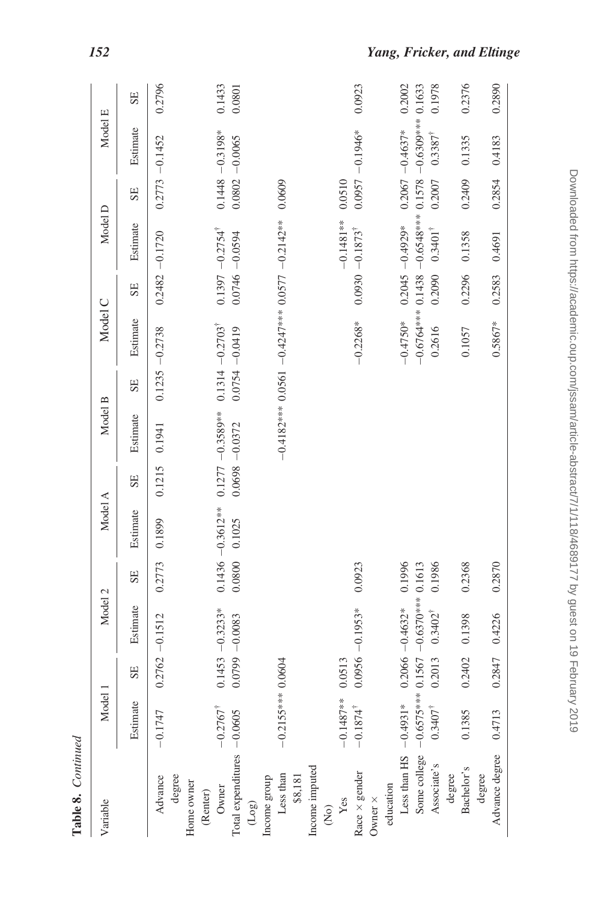| Table 8. Continued                               |                     |        |                    |        |                      |                   |                                                         |                   |                                |                   |                                                             |                   |                    |        |
|--------------------------------------------------|---------------------|--------|--------------------|--------|----------------------|-------------------|---------------------------------------------------------|-------------------|--------------------------------|-------------------|-------------------------------------------------------------|-------------------|--------------------|--------|
| Variable                                         | Model 1             |        | Model 2            |        | Model A              |                   | Model B                                                 |                   | Model C                        |                   | Model D                                                     |                   | Model E            |        |
|                                                  | Estimate            | SE     | Estimate           | SE     | Estimate             | SE                | Estimate                                                | SE                | Estimate                       | SE                | Estimate                                                    | SE                | Estimate           | SE     |
| Advance                                          | $-0.1747$           |        | $0.2762 - 0.1512$  | 0.2773 | 0.1899               | 0.1215            | 0.1941                                                  | $0.1235 - 0.2738$ |                                |                   | $0.2482 - 0.1720$                                           | $0.2773 - 0.1452$ |                    | 0.2796 |
| degree<br>Home owner<br>(Renter)                 |                     |        |                    |        |                      |                   |                                                         |                   |                                |                   |                                                             |                   |                    |        |
| Owner                                            | $-0.2767^{\dagger}$ |        | $0.1453 - 0.3233*$ |        | $0.1436 - 0.3612***$ |                   | $0.1277 - 0.3589**$                                     |                   | $0.1314 - 0.2703$ <sup>†</sup> |                   | $0.1397 - 0.2754^{\dagger}$                                 |                   | $0.1448 - 0.3198*$ | 0.1433 |
| Total expenditures -0.0605<br>$(\log)$           |                     |        | $0.0799 - 0.0083$  | 0.0800 | 0.1025               | $0.0698 - 0.0372$ |                                                         | $0.0754 - 0.0419$ |                                | $0.0746 - 0.0594$ |                                                             | 0.0802            | $-0.0065$          | 0.0801 |
| Income group                                     |                     |        |                    |        |                      |                   |                                                         |                   |                                |                   |                                                             |                   |                    |        |
| Less than                                        | $-0.2155***0.0604$  |        |                    |        |                      |                   | $-0.4182***80.0561$ $-0.4247***7**20.0577$ $-0.2142***$ |                   |                                |                   |                                                             | 0.0609            |                    |        |
| \$8,181                                          |                     |        |                    |        |                      |                   |                                                         |                   |                                |                   |                                                             |                   |                    |        |
| Income imputed                                   |                     |        |                    |        |                      |                   |                                                         |                   |                                |                   |                                                             |                   |                    |        |
| $\widehat{C}$                                    |                     |        |                    |        |                      |                   |                                                         |                   |                                |                   |                                                             |                   |                    |        |
| Yes                                              | $-0.1487***$        | 0.0513 |                    |        |                      |                   |                                                         |                   |                                |                   | $-0.1481**$                                                 | 0.0510            |                    |        |
| Race $\times$ gender                             | $-0.1874^{\dagger}$ |        | $0.0956 - 0.1953*$ | 0.0923 |                      |                   |                                                         |                   | $-0.2268*$                     |                   | $0.0930 - 0.1873$ <sup>†</sup>                              |                   | $0.0957 - 0.1946*$ | 0.0923 |
| Owner ×                                          |                     |        |                    |        |                      |                   |                                                         |                   |                                |                   |                                                             |                   |                    |        |
| education                                        |                     |        |                    |        |                      |                   |                                                         |                   |                                |                   |                                                             |                   |                    |        |
| Less than HS $-0.4931*$                          |                     |        | $0.2066 - 0.4632*$ | 0.1996 |                      |                   |                                                         |                   | $-0.4750*$                     |                   | $0.2045 - 0.4929*$                                          |                   | $0.2067 - 0.4637*$ | 0.2002 |
| Some college -0.6575*** 0.1567 -0.6370*** 0.1613 |                     |        |                    |        |                      |                   |                                                         |                   |                                |                   | $-0.6764***$ 0.1438 $-0.6548***$ 0.1578 $-0.6309***$ 0.1633 |                   |                    |        |
| Associate's                                      | $0.3407^{\dagger}$  | 0.2013 | $0.3402^{\dagger}$ | 0.1986 |                      |                   |                                                         |                   | 0.2616                         | 0.2090            | $0.3401^{\dagger}$                                          | 0.2007            | $0.3387^{\dagger}$ | 0.1978 |
| degree                                           |                     |        |                    |        |                      |                   |                                                         |                   |                                |                   |                                                             |                   |                    |        |
| Bachelor's                                       | 0.1385              | 0.2402 | 0.1398             | 0.2368 |                      |                   |                                                         |                   | 0.1057                         | 0.2296            | 0.1358                                                      | 0.2409            | 0.1335             | 0.2376 |
| degree                                           |                     |        |                    |        |                      |                   |                                                         |                   |                                |                   |                                                             |                   |                    |        |
| Advance degree 0.4713                            |                     | 0.2847 | 0.4226             | 0.2870 |                      |                   |                                                         |                   | $0.5867*$                      | 0.2583            | 0.4691                                                      | 0.2854            | 0.4183             | 0.2890 |
|                                                  |                     |        |                    |        |                      |                   |                                                         |                   |                                |                   |                                                             |                   |                    |        |

Downloaded from https://academic.oup.com/jssam/article-abstract/7/1118/4689177 by guest on 19 February 2019 Downloaded from https://academic.oup.com/jssam/article-abstract/7/1/118/4689177 by guest on 19 February 2019

## 152 Yang, Fricker, and Eltinge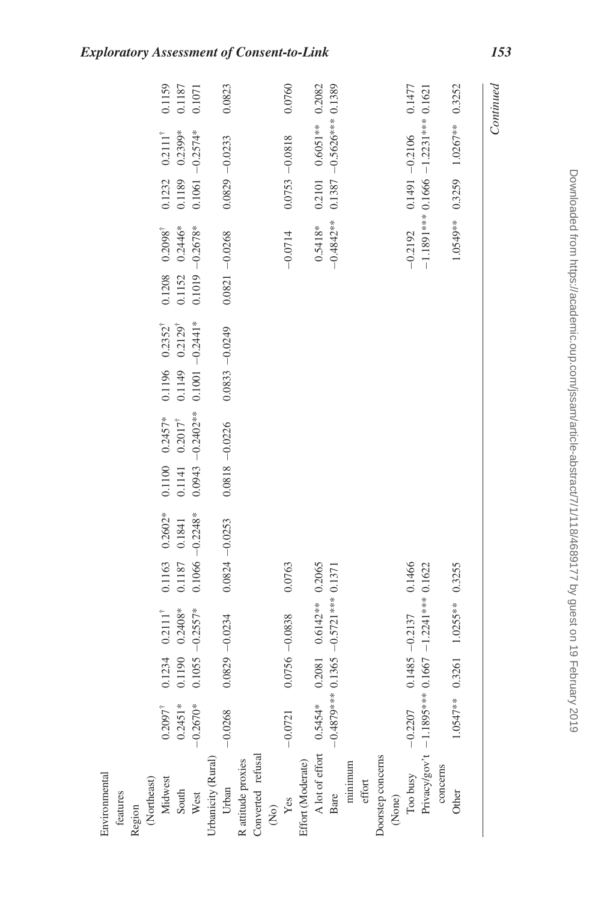| Continued                               |                            |                                                            |                                                      |                     |                                                   |                  |                                         |
|-----------------------------------------|----------------------------|------------------------------------------------------------|------------------------------------------------------|---------------------|---------------------------------------------------|------------------|-----------------------------------------|
| $1.0549**$ 0.3259 $1.0267**$ 0.3252     |                            |                                                            |                                                      |                     | 0.3261 1.0255** 0.3255                            | 1.0547**         | Other                                   |
|                                         |                            |                                                            |                                                      |                     |                                                   |                  | concerns                                |
| $-1.1891***$ 0.1666 $-1.2231***$ 0.1621 |                            |                                                            |                                                      |                     | Privacy/gov't -1.1895*** 0.1667 -1.2241*** 0.1622 |                  |                                         |
| 0.1477<br>$0.1491 - 0.2106$             | $-0.2192$                  |                                                            |                                                      | 0.1466              | $0.1485 - 0.2137$                                 | $-0.2207$        | Too busy                                |
|                                         |                            |                                                            |                                                      |                     |                                                   |                  | (None)                                  |
|                                         |                            |                                                            |                                                      |                     |                                                   |                  | Doorstep concerns                       |
|                                         |                            |                                                            |                                                      |                     |                                                   |                  | effort                                  |
|                                         |                            |                                                            |                                                      |                     |                                                   |                  | minimum                                 |
| $0.1387 -0.5626***0.1389$               | $-0.4842**$                |                                                            |                                                      |                     | $-0.4879***0.1365 -0.5721***0.1371$               |                  | Bare                                    |
| $0.6051**$ 0.2082<br>0.2101             | $0.5418*$                  |                                                            |                                                      |                     | $0.6142***$ 0.2065<br>0.2081                      | $0.5454*$        | A lot of effort                         |
|                                         |                            |                                                            |                                                      |                     |                                                   |                  | Effort (Moderate)                       |
| 0.0760<br>$0.0753 - 0.0818$             | $-0.0714$                  |                                                            |                                                      | 0.0763              | $0.0756 - 0.0838$                                 | $-0.0721$        | Yes                                     |
|                                         |                            |                                                            |                                                      |                     |                                                   |                  | $\rm \hat{S}$                           |
|                                         |                            |                                                            |                                                      |                     |                                                   |                  |                                         |
|                                         |                            |                                                            |                                                      |                     |                                                   |                  | R attitude proxies<br>Converted refusal |
| 0.0823<br>$0.0829 - 0.0233$             | $0.0821 - 0.0268$          | $0.0833 - 0.0249$                                          | $0.0818 - 0.0226$                                    | $0.0824 - 0.0253$   | $0.0829 - 0.0234$                                 | $-0.0268$        | Urban                                   |
|                                         |                            |                                                            |                                                      |                     |                                                   |                  | Urbanicity (Rural)                      |
| 0.1071<br>$-0.2574*$<br>$0.1061$ .      | $0.1019 - 0.2678*$         | $0.1001 - 0.2441*$                                         | $0.0943 - 0.2402***$                                 | $0.1066 - 0.2248*$  | $-0.2557*$<br>0.1055                              | $-0.2670*$       | West                                    |
| 0.1187<br>$0.2399*$<br>0.1189           | $0.2446*$<br>0.1152        | $0.1196$ $0.2352^{\dagger}$<br>$0.1149$ $0.2129^{\dagger}$ |                                                      | 0.1841<br>0.1187    | $0.2408*$<br>0.1190                               | $0.2451*$        | South                                   |
| 0.1159<br>$0.2111^\dagger$<br>0.1232    | $0.2098^\dagger$<br>0.1208 |                                                            | $0.1100$ $0.2457*$<br>$0.1141$ $0.2017$ <sup>†</sup> | $0.2602*$<br>0.1163 | $0.2111^\dagger$<br>0.1234                        | $0.2097^\dagger$ | Midwest                                 |
|                                         |                            |                                                            |                                                      |                     |                                                   |                  | (Northeast)                             |
|                                         |                            |                                                            |                                                      |                     |                                                   |                  | Region                                  |
|                                         |                            |                                                            |                                                      |                     |                                                   |                  | features                                |
|                                         |                            |                                                            |                                                      |                     |                                                   |                  | Environmental                           |
|                                         |                            |                                                            |                                                      |                     |                                                   |                  |                                         |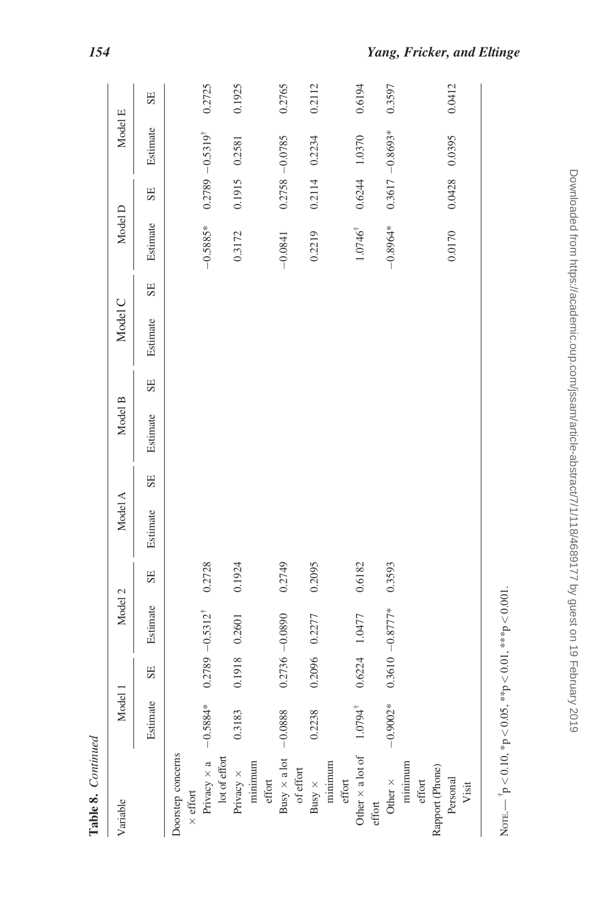| Variable                                                            | Model 1    |        | Model 2                     |        | Model A  |    | Model B  |    | Model C  |    | Model D                           |    | Model E                     |        |
|---------------------------------------------------------------------|------------|--------|-----------------------------|--------|----------|----|----------|----|----------|----|-----------------------------------|----|-----------------------------|--------|
|                                                                     | Estimate   | SE     | Estimate                    | SE     | Estimate | SE | Estimate | SE | Estimate | SE | Estimate                          | SE | Estimate                    | SE     |
| Doorstep concerns                                                   |            |        |                             |        |          |    |          |    |          |    |                                   |    |                             |        |
| $\times$ effort                                                     |            |        |                             |        |          |    |          |    |          |    |                                   |    |                             |        |
|                                                                     |            |        | $0.2789 - 0.5312^{\dagger}$ | 0.2728 |          |    |          |    |          |    | $-0.5885*$                        |    | $0.2789 - 0.5319^{\dagger}$ | 0.2725 |
| Privacy $\times$ a $-0.5884*$<br>lot of effort                      |            |        |                             |        |          |    |          |    |          |    |                                   |    |                             |        |
| Privacy $\times$                                                    | 0.3183     | 0.1918 | 0.2601                      | 0.1924 |          |    |          |    |          |    | 0.3172                            |    | 0.1915 0.2581               | 0.1925 |
| minimum                                                             |            |        |                             |        |          |    |          |    |          |    |                                   |    |                             |        |
| effort                                                              |            |        |                             |        |          |    |          |    |          |    |                                   |    |                             |        |
| Busy $\times$ a lot $-0.0888$                                       |            |        | $0.2736 - 0.0890$           | 0.2749 |          |    |          |    |          |    | $-0.0841$                         |    | $0.2758 - 0.0785$           | 0.2765 |
| of effort                                                           |            |        |                             |        |          |    |          |    |          |    |                                   |    |                             |        |
| $\begin{aligned} \text{Busy}\times \\ \text{minimum} \end{aligned}$ | 0.2238     | 0.2096 | 0.2277                      | 0.2095 |          |    |          |    |          |    | 0.2219                            |    | 0.2114 0.2234               | 0.2112 |
|                                                                     |            |        |                             |        |          |    |          |    |          |    |                                   |    |                             |        |
| effort                                                              |            |        |                             |        |          |    |          |    |          |    |                                   |    |                             |        |
| Other $\times$ a lot of 1.0794 <sup>†</sup>                         |            |        | $0.6224$ 1.0477             | 0.6182 |          |    |          |    |          |    | 1.0746 <sup>*</sup> 0.6244 1.0370 |    |                             | 0.6194 |
| effort                                                              |            |        |                             |        |          |    |          |    |          |    |                                   |    |                             |        |
| Other $\times$                                                      | $-0.9002*$ |        | $0.3610 - 0.8777*$          | 0.3593 |          |    |          |    |          |    | $-0.8964*$                        |    | $0.3617 - 0.8693*$          | 0.3597 |
| minimum                                                             |            |        |                             |        |          |    |          |    |          |    |                                   |    |                             |        |
| $_{\mathrm{effort}}$                                                |            |        |                             |        |          |    |          |    |          |    |                                   |    |                             |        |
| Rapport (Phone)                                                     |            |        |                             |        |          |    |          |    |          |    |                                   |    |                             |        |
| Personal                                                            |            |        |                             |        |          |    |          |    |          |    | 0.0170                            |    | 0.0428 0.0395               | 0.0412 |
| Visit                                                               |            |        |                             |        |          |    |          |    |          |    |                                   |    |                             |        |
|                                                                     |            |        |                             |        |          |    |          |    |          |    |                                   |    |                             |        |

NOTE.—  ${}^{\dagger} {\rm p} < \! 0.10, \, {}^{\ast} {\rm p} < \! 0.05, \, {}^{\ast\ast} {\rm p} < \! 0.01, \, {}^{\ast\ast\ast} {\rm p} < \! 0.001.$ Nore.—  $\mathrm{^{1}p}$  < 0.10, \*p < 0.05, \*\*p < 0.01, \*\*\*p < 0.001.

Downloaded from https://academic.oup.com/jssam/article-abstract/7/1118/4689177 by guest on 19 February 2019 Downloaded from https://academic.oup.com/jssam/article-abstract/7/1/118/4689177 by guest on 19 February 2019

Table 8. Continued

Table 8. Continued

## 154 Yang, Fricker, and Eltinge